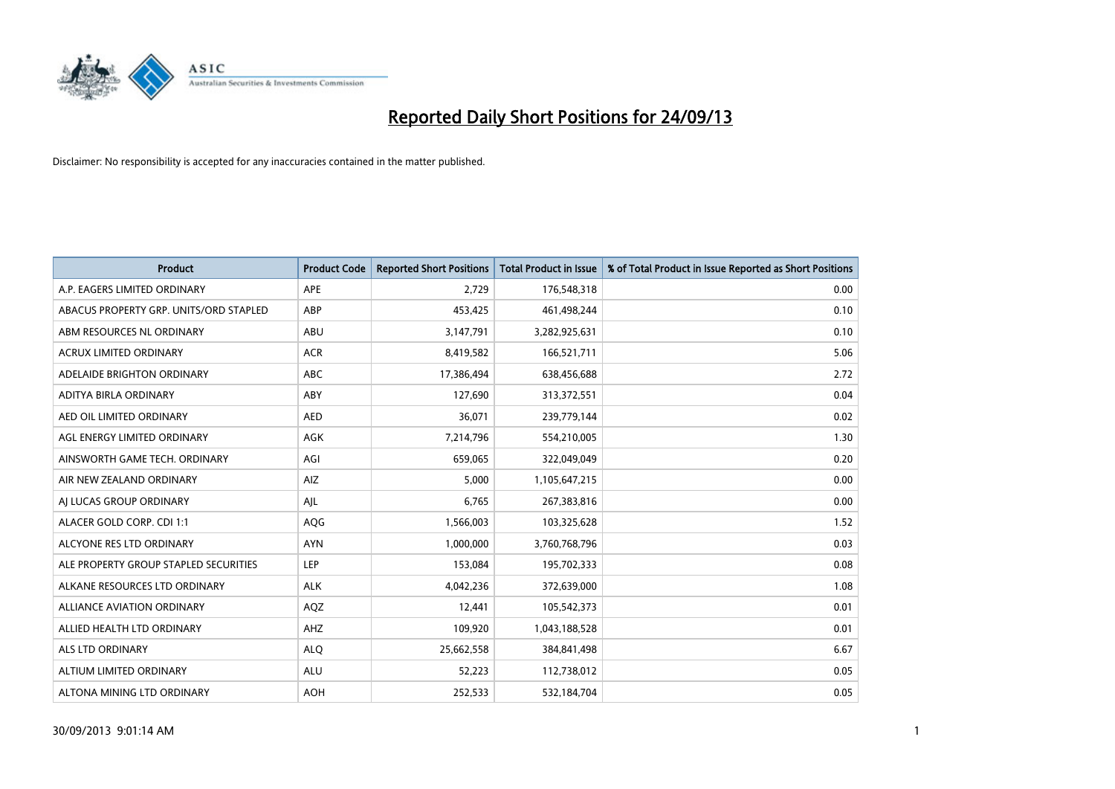

| <b>Product</b>                         | <b>Product Code</b> | <b>Reported Short Positions</b> | <b>Total Product in Issue</b> | % of Total Product in Issue Reported as Short Positions |
|----------------------------------------|---------------------|---------------------------------|-------------------------------|---------------------------------------------------------|
| A.P. EAGERS LIMITED ORDINARY           | APE                 | 2,729                           | 176,548,318                   | 0.00                                                    |
| ABACUS PROPERTY GRP. UNITS/ORD STAPLED | ABP                 | 453,425                         | 461,498,244                   | 0.10                                                    |
| ABM RESOURCES NL ORDINARY              | ABU                 | 3,147,791                       | 3,282,925,631                 | 0.10                                                    |
| ACRUX LIMITED ORDINARY                 | <b>ACR</b>          | 8,419,582                       | 166,521,711                   | 5.06                                                    |
| ADELAIDE BRIGHTON ORDINARY             | <b>ABC</b>          | 17,386,494                      | 638,456,688                   | 2.72                                                    |
| ADITYA BIRLA ORDINARY                  | ABY                 | 127,690                         | 313,372,551                   | 0.04                                                    |
| AED OIL LIMITED ORDINARY               | <b>AED</b>          | 36,071                          | 239,779,144                   | 0.02                                                    |
| AGL ENERGY LIMITED ORDINARY            | AGK                 | 7,214,796                       | 554,210,005                   | 1.30                                                    |
| AINSWORTH GAME TECH. ORDINARY          | AGI                 | 659,065                         | 322,049,049                   | 0.20                                                    |
| AIR NEW ZEALAND ORDINARY               | <b>AIZ</b>          | 5,000                           | 1,105,647,215                 | 0.00                                                    |
| AI LUCAS GROUP ORDINARY                | AJL                 | 6,765                           | 267,383,816                   | 0.00                                                    |
| ALACER GOLD CORP. CDI 1:1              | AQG                 | 1,566,003                       | 103,325,628                   | 1.52                                                    |
| ALCYONE RES LTD ORDINARY               | <b>AYN</b>          | 1,000,000                       | 3,760,768,796                 | 0.03                                                    |
| ALE PROPERTY GROUP STAPLED SECURITIES  | LEP                 | 153,084                         | 195,702,333                   | 0.08                                                    |
| ALKANE RESOURCES LTD ORDINARY          | <b>ALK</b>          | 4,042,236                       | 372,639,000                   | 1.08                                                    |
| ALLIANCE AVIATION ORDINARY             | AQZ                 | 12,441                          | 105,542,373                   | 0.01                                                    |
| ALLIED HEALTH LTD ORDINARY             | AHZ                 | 109,920                         | 1,043,188,528                 | 0.01                                                    |
| <b>ALS LTD ORDINARY</b>                | <b>ALQ</b>          | 25,662,558                      | 384,841,498                   | 6.67                                                    |
| ALTIUM LIMITED ORDINARY                | <b>ALU</b>          | 52,223                          | 112,738,012                   | 0.05                                                    |
| ALTONA MINING LTD ORDINARY             | <b>AOH</b>          | 252,533                         | 532,184,704                   | 0.05                                                    |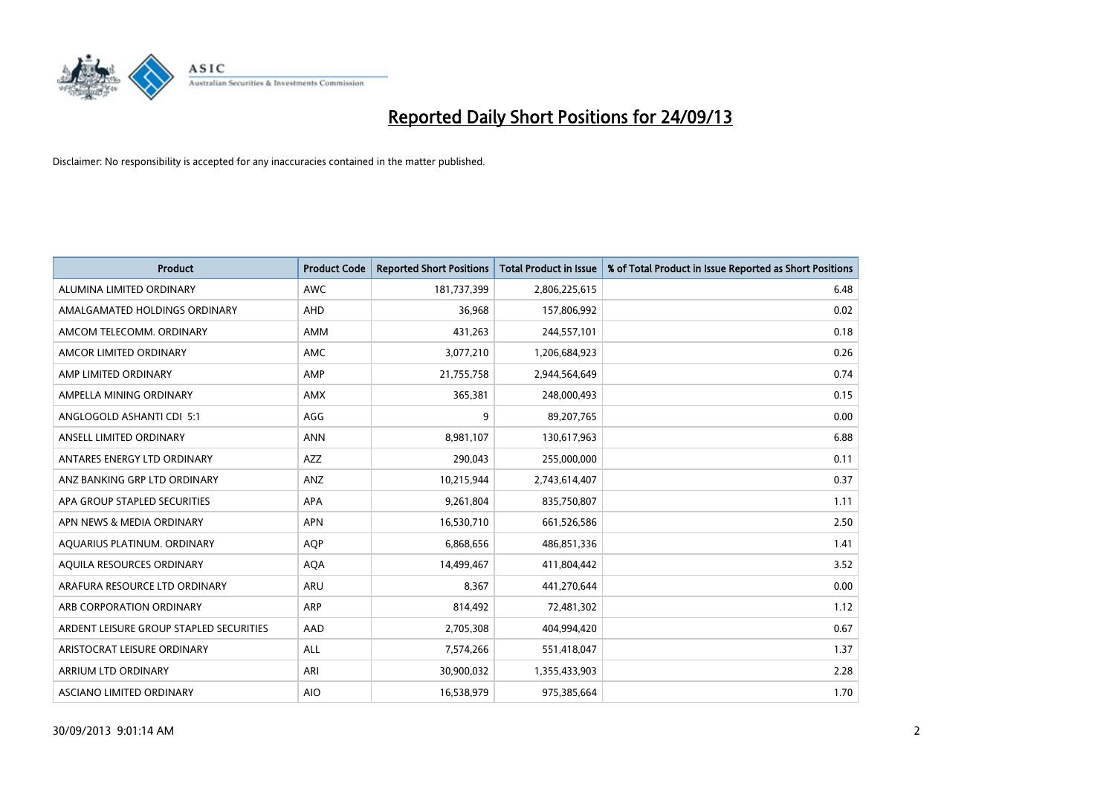

| <b>Product</b>                          | <b>Product Code</b> | <b>Reported Short Positions</b> | <b>Total Product in Issue</b> | % of Total Product in Issue Reported as Short Positions |
|-----------------------------------------|---------------------|---------------------------------|-------------------------------|---------------------------------------------------------|
| ALUMINA LIMITED ORDINARY                | <b>AWC</b>          | 181,737,399                     | 2,806,225,615                 | 6.48                                                    |
| AMALGAMATED HOLDINGS ORDINARY           | AHD                 | 36,968                          | 157,806,992                   | 0.02                                                    |
| AMCOM TELECOMM, ORDINARY                | AMM                 | 431,263                         | 244,557,101                   | 0.18                                                    |
| AMCOR LIMITED ORDINARY                  | <b>AMC</b>          | 3,077,210                       | 1,206,684,923                 | 0.26                                                    |
| AMP LIMITED ORDINARY                    | AMP                 | 21,755,758                      | 2,944,564,649                 | 0.74                                                    |
| AMPELLA MINING ORDINARY                 | <b>AMX</b>          | 365,381                         | 248,000,493                   | 0.15                                                    |
| ANGLOGOLD ASHANTI CDI 5:1               | AGG                 | 9                               | 89,207,765                    | 0.00                                                    |
| ANSELL LIMITED ORDINARY                 | <b>ANN</b>          | 8,981,107                       | 130,617,963                   | 6.88                                                    |
| ANTARES ENERGY LTD ORDINARY             | AZZ                 | 290,043                         | 255,000,000                   | 0.11                                                    |
| ANZ BANKING GRP LTD ORDINARY            | ANZ                 | 10,215,944                      | 2,743,614,407                 | 0.37                                                    |
| APA GROUP STAPLED SECURITIES            | APA                 | 9,261,804                       | 835,750,807                   | 1.11                                                    |
| APN NEWS & MEDIA ORDINARY               | <b>APN</b>          | 16,530,710                      | 661,526,586                   | 2.50                                                    |
| AQUARIUS PLATINUM. ORDINARY             | <b>AOP</b>          | 6,868,656                       | 486,851,336                   | 1.41                                                    |
| AQUILA RESOURCES ORDINARY               | <b>AQA</b>          | 14,499,467                      | 411,804,442                   | 3.52                                                    |
| ARAFURA RESOURCE LTD ORDINARY           | ARU                 | 8,367                           | 441,270,644                   | 0.00                                                    |
| ARB CORPORATION ORDINARY                | <b>ARP</b>          | 814,492                         | 72,481,302                    | 1.12                                                    |
| ARDENT LEISURE GROUP STAPLED SECURITIES | AAD                 | 2,705,308                       | 404,994,420                   | 0.67                                                    |
| ARISTOCRAT LEISURE ORDINARY             | ALL                 | 7,574,266                       | 551,418,047                   | 1.37                                                    |
| ARRIUM LTD ORDINARY                     | ARI                 | 30,900,032                      | 1,355,433,903                 | 2.28                                                    |
| ASCIANO LIMITED ORDINARY                | <b>AIO</b>          | 16,538,979                      | 975,385,664                   | 1.70                                                    |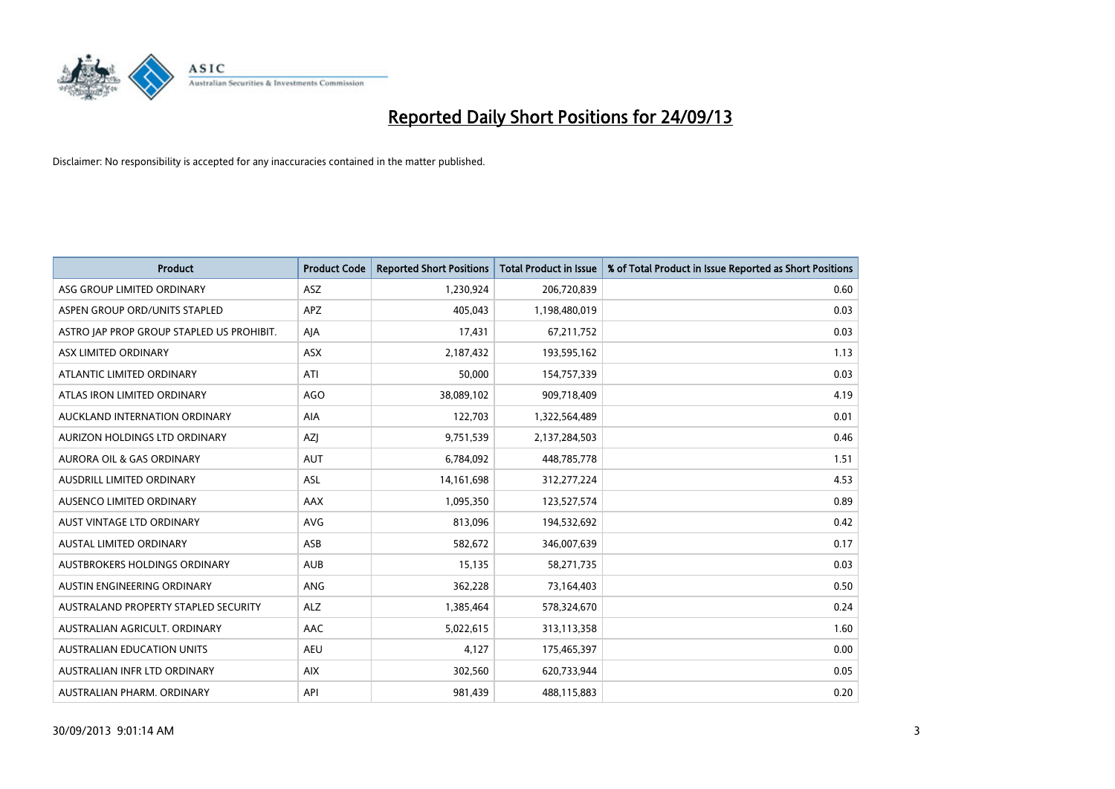

| <b>Product</b>                            | <b>Product Code</b> | <b>Reported Short Positions</b> | <b>Total Product in Issue</b> | % of Total Product in Issue Reported as Short Positions |
|-------------------------------------------|---------------------|---------------------------------|-------------------------------|---------------------------------------------------------|
| ASG GROUP LIMITED ORDINARY                | ASZ                 | 1,230,924                       | 206,720,839                   | 0.60                                                    |
| ASPEN GROUP ORD/UNITS STAPLED             | APZ                 | 405,043                         | 1,198,480,019                 | 0.03                                                    |
| ASTRO JAP PROP GROUP STAPLED US PROHIBIT. | AJA                 | 17,431                          | 67,211,752                    | 0.03                                                    |
| ASX LIMITED ORDINARY                      | ASX                 | 2,187,432                       | 193,595,162                   | 1.13                                                    |
| ATLANTIC LIMITED ORDINARY                 | ATI                 | 50,000                          | 154,757,339                   | 0.03                                                    |
| ATLAS IRON LIMITED ORDINARY               | <b>AGO</b>          | 38,089,102                      | 909,718,409                   | 4.19                                                    |
| AUCKLAND INTERNATION ORDINARY             | AIA                 | 122,703                         | 1,322,564,489                 | 0.01                                                    |
| AURIZON HOLDINGS LTD ORDINARY             | AZJ                 | 9,751,539                       | 2,137,284,503                 | 0.46                                                    |
| <b>AURORA OIL &amp; GAS ORDINARY</b>      | <b>AUT</b>          | 6,784,092                       | 448,785,778                   | 1.51                                                    |
| AUSDRILL LIMITED ORDINARY                 | <b>ASL</b>          | 14, 161, 698                    | 312,277,224                   | 4.53                                                    |
| AUSENCO LIMITED ORDINARY                  | AAX                 | 1,095,350                       | 123,527,574                   | 0.89                                                    |
| AUST VINTAGE LTD ORDINARY                 | <b>AVG</b>          | 813,096                         | 194,532,692                   | 0.42                                                    |
| <b>AUSTAL LIMITED ORDINARY</b>            | ASB                 | 582,672                         | 346,007,639                   | 0.17                                                    |
| AUSTBROKERS HOLDINGS ORDINARY             | <b>AUB</b>          | 15,135                          | 58,271,735                    | 0.03                                                    |
| AUSTIN ENGINEERING ORDINARY               | ANG                 | 362,228                         | 73,164,403                    | 0.50                                                    |
| AUSTRALAND PROPERTY STAPLED SECURITY      | <b>ALZ</b>          | 1,385,464                       | 578,324,670                   | 0.24                                                    |
| AUSTRALIAN AGRICULT. ORDINARY             | AAC                 | 5,022,615                       | 313,113,358                   | 1.60                                                    |
| AUSTRALIAN EDUCATION UNITS                | <b>AEU</b>          | 4,127                           | 175,465,397                   | 0.00                                                    |
| AUSTRALIAN INFR LTD ORDINARY              | <b>AIX</b>          | 302,560                         | 620,733,944                   | 0.05                                                    |
| AUSTRALIAN PHARM. ORDINARY                | API                 | 981,439                         | 488,115,883                   | 0.20                                                    |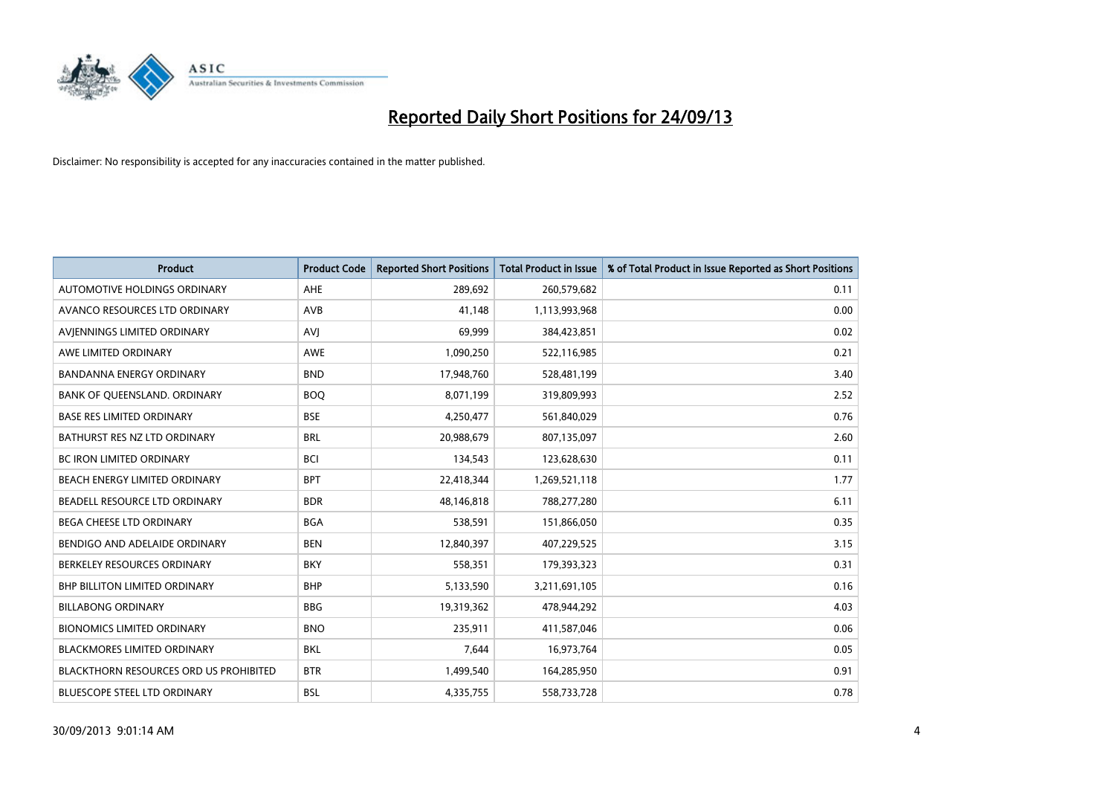

| <b>Product</b>                                | <b>Product Code</b> | <b>Reported Short Positions</b> | <b>Total Product in Issue</b> | % of Total Product in Issue Reported as Short Positions |
|-----------------------------------------------|---------------------|---------------------------------|-------------------------------|---------------------------------------------------------|
| AUTOMOTIVE HOLDINGS ORDINARY                  | AHE                 | 289,692                         | 260,579,682                   | 0.11                                                    |
| AVANCO RESOURCES LTD ORDINARY                 | AVB                 | 41,148                          | 1,113,993,968                 | 0.00                                                    |
| AVIENNINGS LIMITED ORDINARY                   | <b>AVI</b>          | 69,999                          | 384,423,851                   | 0.02                                                    |
| AWE LIMITED ORDINARY                          | <b>AWE</b>          | 1,090,250                       | 522,116,985                   | 0.21                                                    |
| <b>BANDANNA ENERGY ORDINARY</b>               | <b>BND</b>          | 17,948,760                      | 528,481,199                   | 3.40                                                    |
| BANK OF QUEENSLAND. ORDINARY                  | <b>BOO</b>          | 8,071,199                       | 319,809,993                   | 2.52                                                    |
| <b>BASE RES LIMITED ORDINARY</b>              | <b>BSE</b>          | 4,250,477                       | 561,840,029                   | 0.76                                                    |
| BATHURST RES NZ LTD ORDINARY                  | <b>BRL</b>          | 20,988,679                      | 807,135,097                   | 2.60                                                    |
| BC IRON LIMITED ORDINARY                      | <b>BCI</b>          | 134,543                         | 123,628,630                   | 0.11                                                    |
| BEACH ENERGY LIMITED ORDINARY                 | <b>BPT</b>          | 22,418,344                      | 1,269,521,118                 | 1.77                                                    |
| BEADELL RESOURCE LTD ORDINARY                 | <b>BDR</b>          | 48,146,818                      | 788,277,280                   | 6.11                                                    |
| BEGA CHEESE LTD ORDINARY                      | <b>BGA</b>          | 538,591                         | 151,866,050                   | 0.35                                                    |
| BENDIGO AND ADELAIDE ORDINARY                 | <b>BEN</b>          | 12,840,397                      | 407,229,525                   | 3.15                                                    |
| BERKELEY RESOURCES ORDINARY                   | <b>BKY</b>          | 558,351                         | 179,393,323                   | 0.31                                                    |
| <b>BHP BILLITON LIMITED ORDINARY</b>          | <b>BHP</b>          | 5,133,590                       | 3,211,691,105                 | 0.16                                                    |
| <b>BILLABONG ORDINARY</b>                     | <b>BBG</b>          | 19,319,362                      | 478,944,292                   | 4.03                                                    |
| <b>BIONOMICS LIMITED ORDINARY</b>             | <b>BNO</b>          | 235,911                         | 411,587,046                   | 0.06                                                    |
| <b>BLACKMORES LIMITED ORDINARY</b>            | <b>BKL</b>          | 7,644                           | 16,973,764                    | 0.05                                                    |
| <b>BLACKTHORN RESOURCES ORD US PROHIBITED</b> | <b>BTR</b>          | 1,499,540                       | 164,285,950                   | 0.91                                                    |
| BLUESCOPE STEEL LTD ORDINARY                  | <b>BSL</b>          | 4,335,755                       | 558,733,728                   | 0.78                                                    |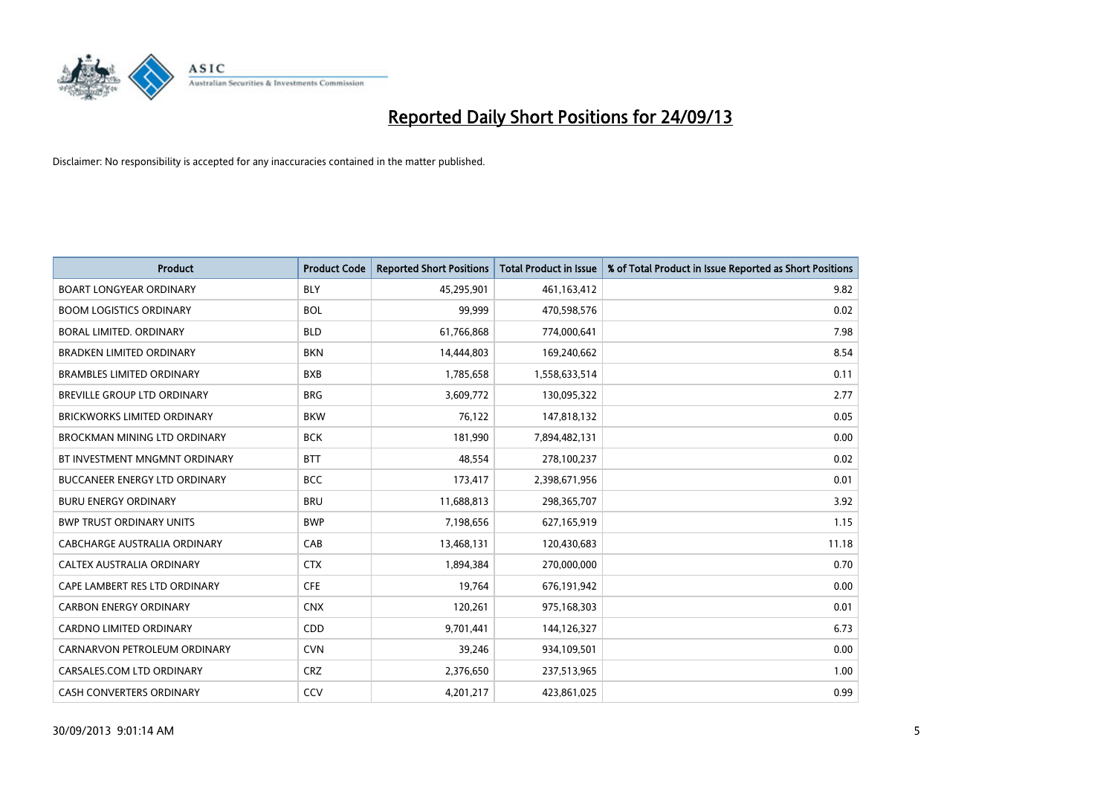

| <b>Product</b>                       | <b>Product Code</b> | <b>Reported Short Positions</b> | <b>Total Product in Issue</b> | % of Total Product in Issue Reported as Short Positions |
|--------------------------------------|---------------------|---------------------------------|-------------------------------|---------------------------------------------------------|
| <b>BOART LONGYEAR ORDINARY</b>       | <b>BLY</b>          | 45,295,901                      | 461,163,412                   | 9.82                                                    |
| <b>BOOM LOGISTICS ORDINARY</b>       | <b>BOL</b>          | 99,999                          | 470,598,576                   | 0.02                                                    |
| BORAL LIMITED, ORDINARY              | <b>BLD</b>          | 61,766,868                      | 774,000,641                   | 7.98                                                    |
| <b>BRADKEN LIMITED ORDINARY</b>      | <b>BKN</b>          | 14,444,803                      | 169,240,662                   | 8.54                                                    |
| <b>BRAMBLES LIMITED ORDINARY</b>     | <b>BXB</b>          | 1,785,658                       | 1,558,633,514                 | 0.11                                                    |
| BREVILLE GROUP LTD ORDINARY          | <b>BRG</b>          | 3,609,772                       | 130,095,322                   | 2.77                                                    |
| <b>BRICKWORKS LIMITED ORDINARY</b>   | <b>BKW</b>          | 76,122                          | 147,818,132                   | 0.05                                                    |
| <b>BROCKMAN MINING LTD ORDINARY</b>  | <b>BCK</b>          | 181,990                         | 7,894,482,131                 | 0.00                                                    |
| BT INVESTMENT MNGMNT ORDINARY        | <b>BTT</b>          | 48,554                          | 278,100,237                   | 0.02                                                    |
| <b>BUCCANEER ENERGY LTD ORDINARY</b> | <b>BCC</b>          | 173,417                         | 2,398,671,956                 | 0.01                                                    |
| <b>BURU ENERGY ORDINARY</b>          | <b>BRU</b>          | 11,688,813                      | 298,365,707                   | 3.92                                                    |
| <b>BWP TRUST ORDINARY UNITS</b>      | <b>BWP</b>          | 7,198,656                       | 627,165,919                   | 1.15                                                    |
| CABCHARGE AUSTRALIA ORDINARY         | CAB                 | 13,468,131                      | 120,430,683                   | 11.18                                                   |
| CALTEX AUSTRALIA ORDINARY            | <b>CTX</b>          | 1,894,384                       | 270,000,000                   | 0.70                                                    |
| CAPE LAMBERT RES LTD ORDINARY        | <b>CFE</b>          | 19,764                          | 676,191,942                   | 0.00                                                    |
| <b>CARBON ENERGY ORDINARY</b>        | <b>CNX</b>          | 120,261                         | 975,168,303                   | 0.01                                                    |
| CARDNO LIMITED ORDINARY              | CDD                 | 9,701,441                       | 144,126,327                   | 6.73                                                    |
| CARNARVON PETROLEUM ORDINARY         | <b>CVN</b>          | 39,246                          | 934,109,501                   | 0.00                                                    |
| CARSALES.COM LTD ORDINARY            | <b>CRZ</b>          | 2,376,650                       | 237,513,965                   | 1.00                                                    |
| <b>CASH CONVERTERS ORDINARY</b>      | CCV                 | 4,201,217                       | 423,861,025                   | 0.99                                                    |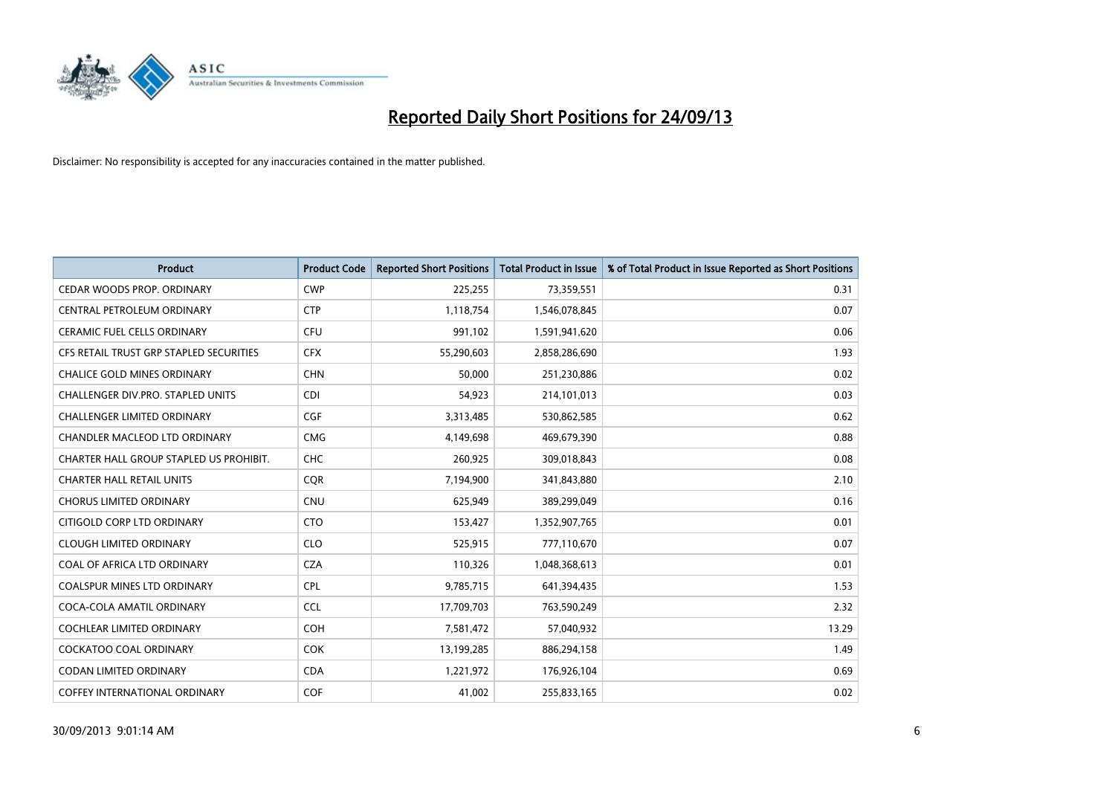

| <b>Product</b>                          | <b>Product Code</b> | <b>Reported Short Positions</b> | <b>Total Product in Issue</b> | % of Total Product in Issue Reported as Short Positions |
|-----------------------------------------|---------------------|---------------------------------|-------------------------------|---------------------------------------------------------|
| CEDAR WOODS PROP. ORDINARY              | <b>CWP</b>          | 225,255                         | 73,359,551                    | 0.31                                                    |
| CENTRAL PETROLEUM ORDINARY              | <b>CTP</b>          | 1,118,754                       | 1,546,078,845                 | 0.07                                                    |
| <b>CERAMIC FUEL CELLS ORDINARY</b>      | <b>CFU</b>          | 991,102                         | 1,591,941,620                 | 0.06                                                    |
| CFS RETAIL TRUST GRP STAPLED SECURITIES | <b>CFX</b>          | 55,290,603                      | 2,858,286,690                 | 1.93                                                    |
| <b>CHALICE GOLD MINES ORDINARY</b>      | <b>CHN</b>          | 50,000                          | 251,230,886                   | 0.02                                                    |
| CHALLENGER DIV.PRO. STAPLED UNITS       | <b>CDI</b>          | 54,923                          | 214,101,013                   | 0.03                                                    |
| <b>CHALLENGER LIMITED ORDINARY</b>      | <b>CGF</b>          | 3,313,485                       | 530,862,585                   | 0.62                                                    |
| CHANDLER MACLEOD LTD ORDINARY           | <b>CMG</b>          | 4,149,698                       | 469,679,390                   | 0.88                                                    |
| CHARTER HALL GROUP STAPLED US PROHIBIT. | <b>CHC</b>          | 260,925                         | 309,018,843                   | 0.08                                                    |
| <b>CHARTER HALL RETAIL UNITS</b>        | <b>COR</b>          | 7,194,900                       | 341,843,880                   | 2.10                                                    |
| <b>CHORUS LIMITED ORDINARY</b>          | <b>CNU</b>          | 625,949                         | 389,299,049                   | 0.16                                                    |
| CITIGOLD CORP LTD ORDINARY              | <b>CTO</b>          | 153,427                         | 1,352,907,765                 | 0.01                                                    |
| <b>CLOUGH LIMITED ORDINARY</b>          | <b>CLO</b>          | 525,915                         | 777,110,670                   | 0.07                                                    |
| COAL OF AFRICA LTD ORDINARY             | <b>CZA</b>          | 110,326                         | 1,048,368,613                 | 0.01                                                    |
| <b>COALSPUR MINES LTD ORDINARY</b>      | <b>CPL</b>          | 9,785,715                       | 641,394,435                   | 1.53                                                    |
| COCA-COLA AMATIL ORDINARY               | <b>CCL</b>          | 17,709,703                      | 763,590,249                   | 2.32                                                    |
| COCHLEAR LIMITED ORDINARY               | <b>COH</b>          | 7,581,472                       | 57,040,932                    | 13.29                                                   |
| COCKATOO COAL ORDINARY                  | COK                 | 13,199,285                      | 886,294,158                   | 1.49                                                    |
| <b>CODAN LIMITED ORDINARY</b>           | <b>CDA</b>          | 1,221,972                       | 176,926,104                   | 0.69                                                    |
| COFFEY INTERNATIONAL ORDINARY           | <b>COF</b>          | 41,002                          | 255,833,165                   | 0.02                                                    |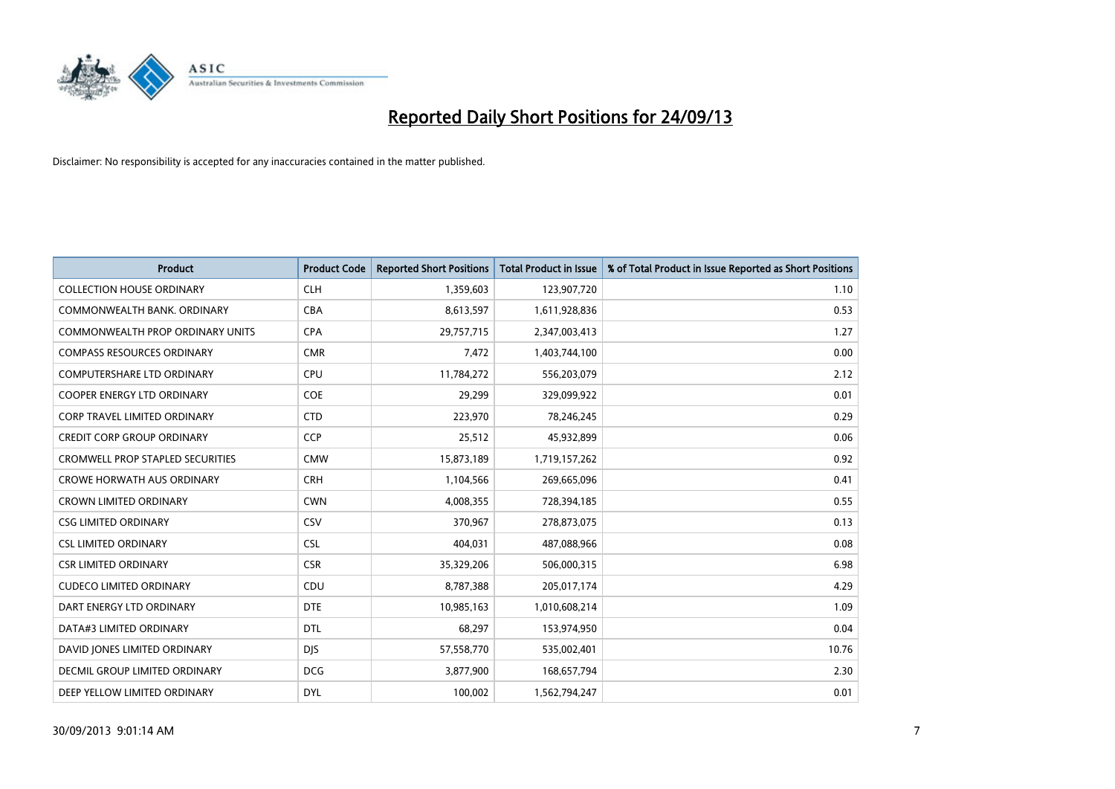

| <b>Product</b>                          | <b>Product Code</b> | <b>Reported Short Positions</b> | <b>Total Product in Issue</b> | % of Total Product in Issue Reported as Short Positions |
|-----------------------------------------|---------------------|---------------------------------|-------------------------------|---------------------------------------------------------|
| <b>COLLECTION HOUSE ORDINARY</b>        | <b>CLH</b>          | 1,359,603                       | 123,907,720                   | 1.10                                                    |
| COMMONWEALTH BANK, ORDINARY             | <b>CBA</b>          | 8,613,597                       | 1,611,928,836                 | 0.53                                                    |
| <b>COMMONWEALTH PROP ORDINARY UNITS</b> | <b>CPA</b>          | 29,757,715                      | 2,347,003,413                 | 1.27                                                    |
| <b>COMPASS RESOURCES ORDINARY</b>       | <b>CMR</b>          | 7,472                           | 1,403,744,100                 | 0.00                                                    |
| <b>COMPUTERSHARE LTD ORDINARY</b>       | <b>CPU</b>          | 11,784,272                      | 556,203,079                   | 2.12                                                    |
| <b>COOPER ENERGY LTD ORDINARY</b>       | <b>COE</b>          | 29,299                          | 329,099,922                   | 0.01                                                    |
| <b>CORP TRAVEL LIMITED ORDINARY</b>     | <b>CTD</b>          | 223,970                         | 78,246,245                    | 0.29                                                    |
| <b>CREDIT CORP GROUP ORDINARY</b>       | <b>CCP</b>          | 25,512                          | 45,932,899                    | 0.06                                                    |
| <b>CROMWELL PROP STAPLED SECURITIES</b> | <b>CMW</b>          | 15,873,189                      | 1,719,157,262                 | 0.92                                                    |
| <b>CROWE HORWATH AUS ORDINARY</b>       | <b>CRH</b>          | 1,104,566                       | 269,665,096                   | 0.41                                                    |
| <b>CROWN LIMITED ORDINARY</b>           | <b>CWN</b>          | 4,008,355                       | 728,394,185                   | 0.55                                                    |
| <b>CSG LIMITED ORDINARY</b>             | CSV                 | 370,967                         | 278,873,075                   | 0.13                                                    |
| <b>CSL LIMITED ORDINARY</b>             | <b>CSL</b>          | 404,031                         | 487,088,966                   | 0.08                                                    |
| <b>CSR LIMITED ORDINARY</b>             | <b>CSR</b>          | 35,329,206                      | 506,000,315                   | 6.98                                                    |
| <b>CUDECO LIMITED ORDINARY</b>          | CDU                 | 8,787,388                       | 205,017,174                   | 4.29                                                    |
| DART ENERGY LTD ORDINARY                | <b>DTE</b>          | 10,985,163                      | 1,010,608,214                 | 1.09                                                    |
| DATA#3 LIMITED ORDINARY                 | <b>DTL</b>          | 68,297                          | 153,974,950                   | 0.04                                                    |
| DAVID JONES LIMITED ORDINARY            | <b>DJS</b>          | 57,558,770                      | 535,002,401                   | 10.76                                                   |
| <b>DECMIL GROUP LIMITED ORDINARY</b>    | <b>DCG</b>          | 3,877,900                       | 168,657,794                   | 2.30                                                    |
| DEEP YELLOW LIMITED ORDINARY            | <b>DYL</b>          | 100,002                         | 1,562,794,247                 | 0.01                                                    |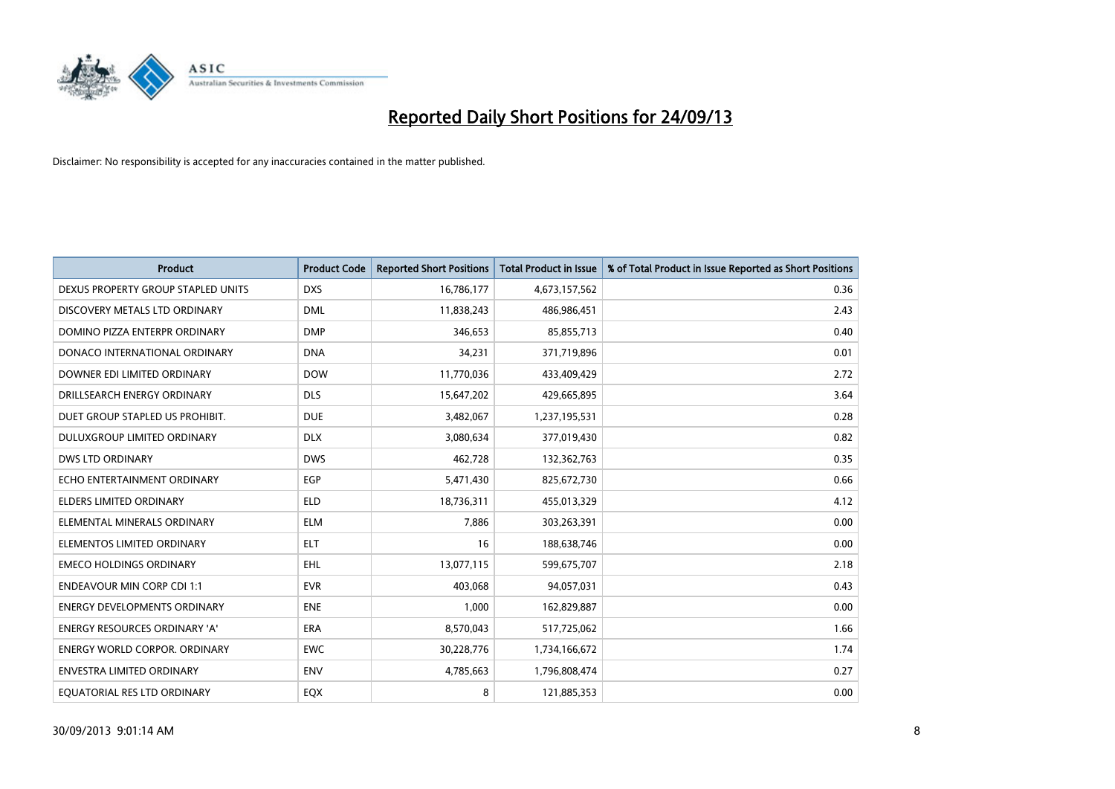

| <b>Product</b>                       | <b>Product Code</b> | <b>Reported Short Positions</b> | <b>Total Product in Issue</b> | % of Total Product in Issue Reported as Short Positions |
|--------------------------------------|---------------------|---------------------------------|-------------------------------|---------------------------------------------------------|
| DEXUS PROPERTY GROUP STAPLED UNITS   | <b>DXS</b>          | 16,786,177                      | 4,673,157,562                 | 0.36                                                    |
| DISCOVERY METALS LTD ORDINARY        | <b>DML</b>          | 11,838,243                      | 486,986,451                   | 2.43                                                    |
| DOMINO PIZZA ENTERPR ORDINARY        | <b>DMP</b>          | 346,653                         | 85,855,713                    | 0.40                                                    |
| DONACO INTERNATIONAL ORDINARY        | <b>DNA</b>          | 34,231                          | 371,719,896                   | 0.01                                                    |
| DOWNER EDI LIMITED ORDINARY          | <b>DOW</b>          | 11,770,036                      | 433,409,429                   | 2.72                                                    |
| DRILLSEARCH ENERGY ORDINARY          | <b>DLS</b>          | 15,647,202                      | 429,665,895                   | 3.64                                                    |
| DUET GROUP STAPLED US PROHIBIT.      | <b>DUE</b>          | 3,482,067                       | 1,237,195,531                 | 0.28                                                    |
| <b>DULUXGROUP LIMITED ORDINARY</b>   | <b>DLX</b>          | 3,080,634                       | 377,019,430                   | 0.82                                                    |
| <b>DWS LTD ORDINARY</b>              | <b>DWS</b>          | 462,728                         | 132,362,763                   | 0.35                                                    |
| ECHO ENTERTAINMENT ORDINARY          | EGP                 | 5,471,430                       | 825,672,730                   | 0.66                                                    |
| ELDERS LIMITED ORDINARY              | <b>ELD</b>          | 18,736,311                      | 455,013,329                   | 4.12                                                    |
| ELEMENTAL MINERALS ORDINARY          | ELM                 | 7,886                           | 303,263,391                   | 0.00                                                    |
| ELEMENTOS LIMITED ORDINARY           | <b>ELT</b>          | 16                              | 188,638,746                   | 0.00                                                    |
| <b>EMECO HOLDINGS ORDINARY</b>       | <b>EHL</b>          | 13,077,115                      | 599,675,707                   | 2.18                                                    |
| <b>ENDEAVOUR MIN CORP CDI 1:1</b>    | <b>EVR</b>          | 403,068                         | 94,057,031                    | 0.43                                                    |
| <b>ENERGY DEVELOPMENTS ORDINARY</b>  | <b>ENE</b>          | 1,000                           | 162,829,887                   | 0.00                                                    |
| <b>ENERGY RESOURCES ORDINARY 'A'</b> | <b>ERA</b>          | 8,570,043                       | 517,725,062                   | 1.66                                                    |
| <b>ENERGY WORLD CORPOR, ORDINARY</b> | <b>EWC</b>          | 30,228,776                      | 1,734,166,672                 | 1.74                                                    |
| <b>ENVESTRA LIMITED ORDINARY</b>     | <b>ENV</b>          | 4,785,663                       | 1,796,808,474                 | 0.27                                                    |
| EQUATORIAL RES LTD ORDINARY          | EQX                 | 8                               | 121,885,353                   | 0.00                                                    |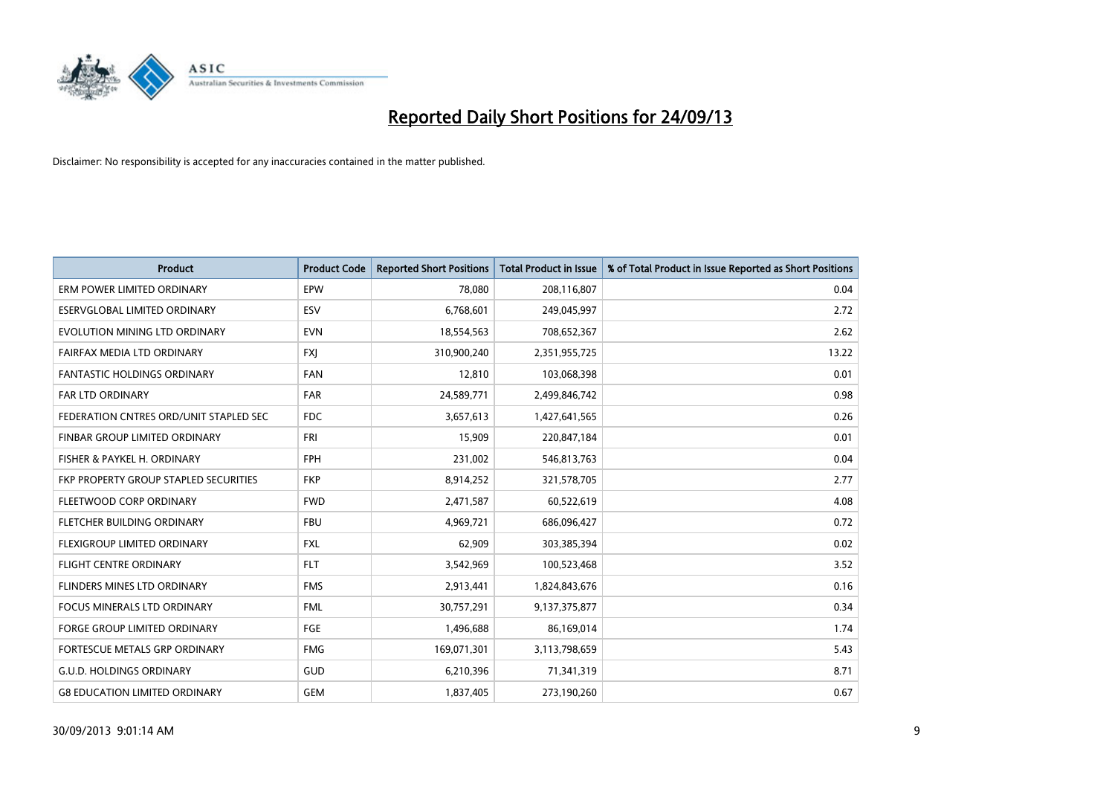

| <b>Product</b>                         | <b>Product Code</b> | <b>Reported Short Positions</b> | <b>Total Product in Issue</b> | % of Total Product in Issue Reported as Short Positions |
|----------------------------------------|---------------------|---------------------------------|-------------------------------|---------------------------------------------------------|
| ERM POWER LIMITED ORDINARY             | EPW                 | 78,080                          | 208,116,807                   | 0.04                                                    |
| ESERVGLOBAL LIMITED ORDINARY           | ESV                 | 6,768,601                       | 249,045,997                   | 2.72                                                    |
| EVOLUTION MINING LTD ORDINARY          | <b>EVN</b>          | 18,554,563                      | 708,652,367                   | 2.62                                                    |
| FAIRFAX MEDIA LTD ORDINARY             | FXJ                 | 310,900,240                     | 2,351,955,725                 | 13.22                                                   |
| <b>FANTASTIC HOLDINGS ORDINARY</b>     | <b>FAN</b>          | 12,810                          | 103,068,398                   | 0.01                                                    |
| <b>FAR LTD ORDINARY</b>                | <b>FAR</b>          | 24,589,771                      | 2,499,846,742                 | 0.98                                                    |
| FEDERATION CNTRES ORD/UNIT STAPLED SEC | FDC                 | 3,657,613                       | 1,427,641,565                 | 0.26                                                    |
| FINBAR GROUP LIMITED ORDINARY          | <b>FRI</b>          | 15,909                          | 220,847,184                   | 0.01                                                    |
| FISHER & PAYKEL H. ORDINARY            | <b>FPH</b>          | 231,002                         | 546,813,763                   | 0.04                                                    |
| FKP PROPERTY GROUP STAPLED SECURITIES  | <b>FKP</b>          | 8,914,252                       | 321,578,705                   | 2.77                                                    |
| FLEETWOOD CORP ORDINARY                | <b>FWD</b>          | 2,471,587                       | 60,522,619                    | 4.08                                                    |
| FLETCHER BUILDING ORDINARY             | <b>FBU</b>          | 4,969,721                       | 686,096,427                   | 0.72                                                    |
| FLEXIGROUP LIMITED ORDINARY            | <b>FXL</b>          | 62,909                          | 303,385,394                   | 0.02                                                    |
| <b>FLIGHT CENTRE ORDINARY</b>          | <b>FLT</b>          | 3,542,969                       | 100,523,468                   | 3.52                                                    |
| FLINDERS MINES LTD ORDINARY            | <b>FMS</b>          | 2,913,441                       | 1,824,843,676                 | 0.16                                                    |
| FOCUS MINERALS LTD ORDINARY            | <b>FML</b>          | 30,757,291                      | 9,137,375,877                 | 0.34                                                    |
| FORGE GROUP LIMITED ORDINARY           | FGE                 | 1,496,688                       | 86,169,014                    | 1.74                                                    |
| FORTESCUE METALS GRP ORDINARY          | <b>FMG</b>          | 169,071,301                     | 3,113,798,659                 | 5.43                                                    |
| <b>G.U.D. HOLDINGS ORDINARY</b>        | GUD                 | 6,210,396                       | 71,341,319                    | 8.71                                                    |
| <b>G8 EDUCATION LIMITED ORDINARY</b>   | <b>GEM</b>          | 1,837,405                       | 273,190,260                   | 0.67                                                    |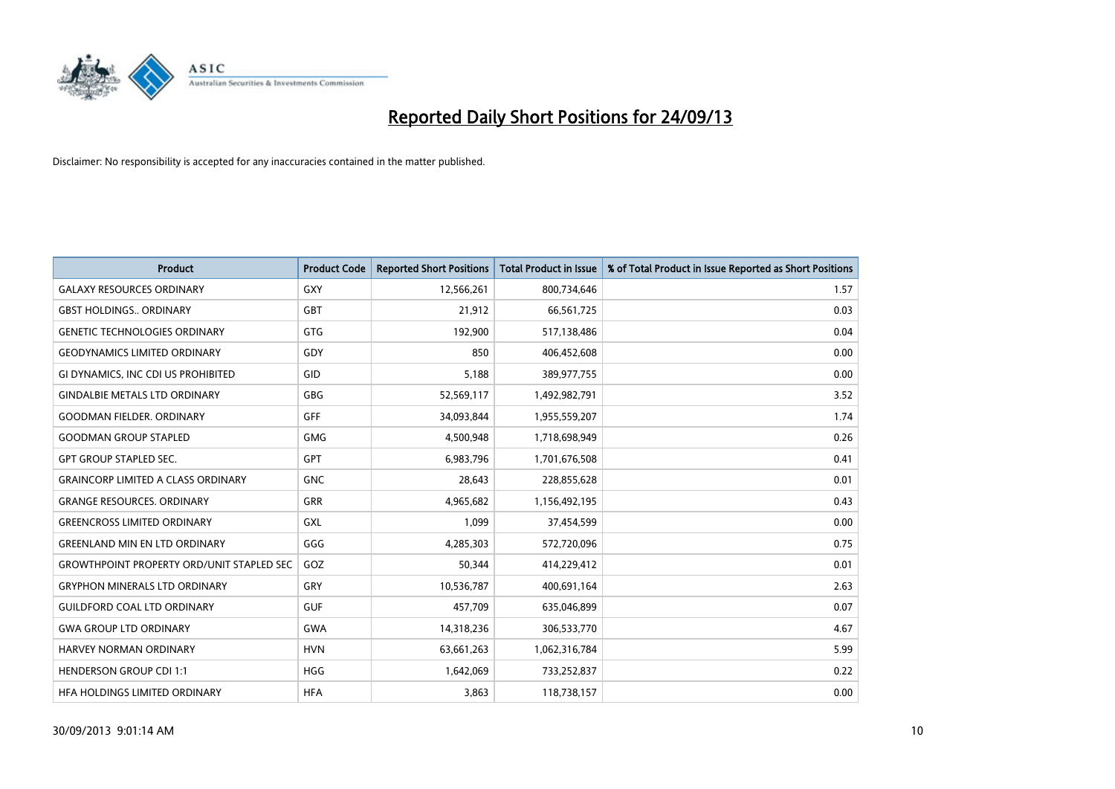

| Product                                          | <b>Product Code</b> | <b>Reported Short Positions</b> | <b>Total Product in Issue</b> | % of Total Product in Issue Reported as Short Positions |
|--------------------------------------------------|---------------------|---------------------------------|-------------------------------|---------------------------------------------------------|
| <b>GALAXY RESOURCES ORDINARY</b>                 | GXY                 | 12,566,261                      | 800,734,646                   | 1.57                                                    |
| <b>GBST HOLDINGS ORDINARY</b>                    | <b>GBT</b>          | 21,912                          | 66,561,725                    | 0.03                                                    |
| <b>GENETIC TECHNOLOGIES ORDINARY</b>             | GTG                 | 192,900                         | 517,138,486                   | 0.04                                                    |
| <b>GEODYNAMICS LIMITED ORDINARY</b>              | GDY                 | 850                             | 406,452,608                   | 0.00                                                    |
| GI DYNAMICS, INC CDI US PROHIBITED               | GID                 | 5,188                           | 389,977,755                   | 0.00                                                    |
| <b>GINDALBIE METALS LTD ORDINARY</b>             | <b>GBG</b>          | 52,569,117                      | 1,492,982,791                 | 3.52                                                    |
| <b>GOODMAN FIELDER, ORDINARY</b>                 | <b>GFF</b>          | 34,093,844                      | 1,955,559,207                 | 1.74                                                    |
| <b>GOODMAN GROUP STAPLED</b>                     | GMG                 | 4,500,948                       | 1,718,698,949                 | 0.26                                                    |
| <b>GPT GROUP STAPLED SEC.</b>                    | <b>GPT</b>          | 6,983,796                       | 1,701,676,508                 | 0.41                                                    |
| <b>GRAINCORP LIMITED A CLASS ORDINARY</b>        | <b>GNC</b>          | 28,643                          | 228,855,628                   | 0.01                                                    |
| <b>GRANGE RESOURCES. ORDINARY</b>                | GRR                 | 4,965,682                       | 1,156,492,195                 | 0.43                                                    |
| <b>GREENCROSS LIMITED ORDINARY</b>               | GXL                 | 1,099                           | 37,454,599                    | 0.00                                                    |
| <b>GREENLAND MIN EN LTD ORDINARY</b>             | GGG                 | 4,285,303                       | 572,720,096                   | 0.75                                                    |
| <b>GROWTHPOINT PROPERTY ORD/UNIT STAPLED SEC</b> | GOZ                 | 50,344                          | 414,229,412                   | 0.01                                                    |
| <b>GRYPHON MINERALS LTD ORDINARY</b>             | GRY                 | 10,536,787                      | 400,691,164                   | 2.63                                                    |
| <b>GUILDFORD COAL LTD ORDINARY</b>               | <b>GUF</b>          | 457,709                         | 635,046,899                   | 0.07                                                    |
| <b>GWA GROUP LTD ORDINARY</b>                    | <b>GWA</b>          | 14,318,236                      | 306,533,770                   | 4.67                                                    |
| <b>HARVEY NORMAN ORDINARY</b>                    | <b>HVN</b>          | 63,661,263                      | 1,062,316,784                 | 5.99                                                    |
| <b>HENDERSON GROUP CDI 1:1</b>                   | <b>HGG</b>          | 1,642,069                       | 733,252,837                   | 0.22                                                    |
| HFA HOLDINGS LIMITED ORDINARY                    | <b>HFA</b>          | 3,863                           | 118,738,157                   | 0.00                                                    |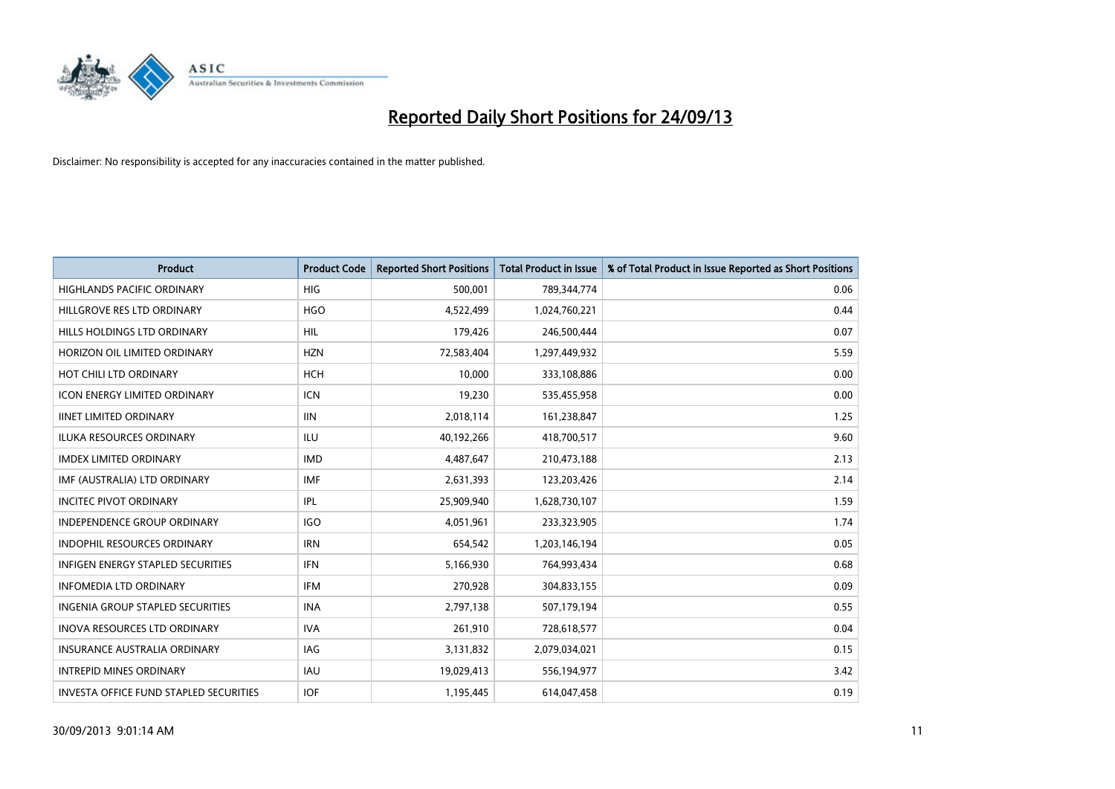

| <b>Product</b>                           | <b>Product Code</b> | <b>Reported Short Positions</b> | <b>Total Product in Issue</b> | % of Total Product in Issue Reported as Short Positions |
|------------------------------------------|---------------------|---------------------------------|-------------------------------|---------------------------------------------------------|
| <b>HIGHLANDS PACIFIC ORDINARY</b>        | <b>HIG</b>          | 500,001                         | 789,344,774                   | 0.06                                                    |
| HILLGROVE RES LTD ORDINARY               | <b>HGO</b>          | 4,522,499                       | 1,024,760,221                 | 0.44                                                    |
| HILLS HOLDINGS LTD ORDINARY              | <b>HIL</b>          | 179,426                         | 246,500,444                   | 0.07                                                    |
| HORIZON OIL LIMITED ORDINARY             | <b>HZN</b>          | 72,583,404                      | 1,297,449,932                 | 5.59                                                    |
| HOT CHILI LTD ORDINARY                   | <b>HCH</b>          | 10,000                          | 333,108,886                   | 0.00                                                    |
| <b>ICON ENERGY LIMITED ORDINARY</b>      | <b>ICN</b>          | 19,230                          | 535,455,958                   | 0.00                                                    |
| <b>IINET LIMITED ORDINARY</b>            | <b>IIN</b>          | 2,018,114                       | 161,238,847                   | 1.25                                                    |
| ILUKA RESOURCES ORDINARY                 | ILU                 | 40,192,266                      | 418,700,517                   | 9.60                                                    |
| <b>IMDEX LIMITED ORDINARY</b>            | <b>IMD</b>          | 4,487,647                       | 210,473,188                   | 2.13                                                    |
| IMF (AUSTRALIA) LTD ORDINARY             | <b>IMF</b>          | 2,631,393                       | 123,203,426                   | 2.14                                                    |
| <b>INCITEC PIVOT ORDINARY</b>            | <b>IPL</b>          | 25,909,940                      | 1,628,730,107                 | 1.59                                                    |
| <b>INDEPENDENCE GROUP ORDINARY</b>       | <b>IGO</b>          | 4,051,961                       | 233,323,905                   | 1.74                                                    |
| INDOPHIL RESOURCES ORDINARY              | <b>IRN</b>          | 654,542                         | 1,203,146,194                 | 0.05                                                    |
| <b>INFIGEN ENERGY STAPLED SECURITIES</b> | <b>IFN</b>          | 5,166,930                       | 764,993,434                   | 0.68                                                    |
| <b>INFOMEDIA LTD ORDINARY</b>            | <b>IFM</b>          | 270,928                         | 304,833,155                   | 0.09                                                    |
| INGENIA GROUP STAPLED SECURITIES         | <b>INA</b>          | 2,797,138                       | 507,179,194                   | 0.55                                                    |
| <b>INOVA RESOURCES LTD ORDINARY</b>      | <b>IVA</b>          | 261,910                         | 728,618,577                   | 0.04                                                    |
| <b>INSURANCE AUSTRALIA ORDINARY</b>      | IAG                 | 3,131,832                       | 2,079,034,021                 | 0.15                                                    |
| <b>INTREPID MINES ORDINARY</b>           | <b>IAU</b>          | 19,029,413                      | 556,194,977                   | 3.42                                                    |
| INVESTA OFFICE FUND STAPLED SECURITIES   | <b>IOF</b>          | 1,195,445                       | 614,047,458                   | 0.19                                                    |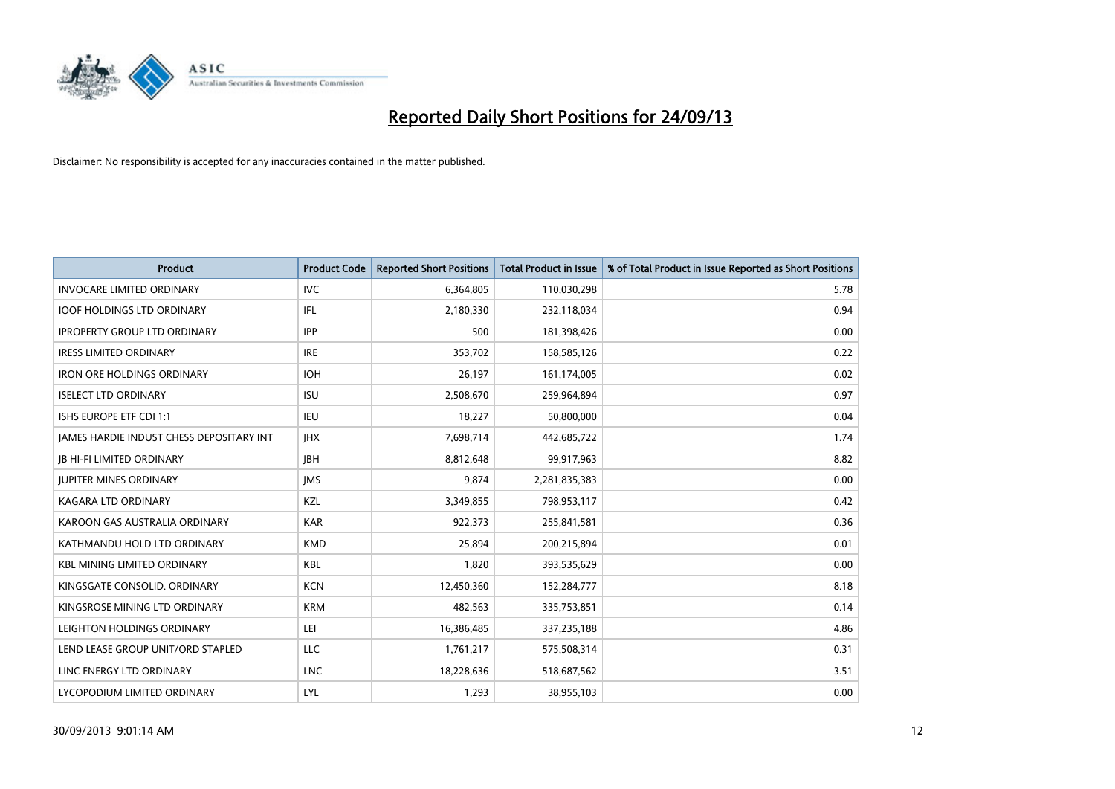

| Product                                  | <b>Product Code</b> | <b>Reported Short Positions</b> | <b>Total Product in Issue</b> | % of Total Product in Issue Reported as Short Positions |
|------------------------------------------|---------------------|---------------------------------|-------------------------------|---------------------------------------------------------|
| <b>INVOCARE LIMITED ORDINARY</b>         | <b>IVC</b>          | 6,364,805                       | 110,030,298                   | 5.78                                                    |
| <b>IOOF HOLDINGS LTD ORDINARY</b>        | IFL                 | 2,180,330                       | 232,118,034                   | 0.94                                                    |
| <b>IPROPERTY GROUP LTD ORDINARY</b>      | <b>IPP</b>          | 500                             | 181,398,426                   | 0.00                                                    |
| <b>IRESS LIMITED ORDINARY</b>            | <b>IRE</b>          | 353,702                         | 158,585,126                   | 0.22                                                    |
| <b>IRON ORE HOLDINGS ORDINARY</b>        | <b>IOH</b>          | 26,197                          | 161,174,005                   | 0.02                                                    |
| <b>ISELECT LTD ORDINARY</b>              | <b>ISU</b>          | 2,508,670                       | 259,964,894                   | 0.97                                                    |
| <b>ISHS EUROPE ETF CDI 1:1</b>           | <b>IEU</b>          | 18,227                          | 50,800,000                    | 0.04                                                    |
| JAMES HARDIE INDUST CHESS DEPOSITARY INT | <b>IHX</b>          | 7,698,714                       | 442,685,722                   | 1.74                                                    |
| <b>JB HI-FI LIMITED ORDINARY</b>         | <b>IBH</b>          | 8,812,648                       | 99,917,963                    | 8.82                                                    |
| <b>JUPITER MINES ORDINARY</b>            | <b>IMS</b>          | 9,874                           | 2,281,835,383                 | 0.00                                                    |
| KAGARA LTD ORDINARY                      | KZL                 | 3,349,855                       | 798,953,117                   | 0.42                                                    |
| KAROON GAS AUSTRALIA ORDINARY            | <b>KAR</b>          | 922,373                         | 255,841,581                   | 0.36                                                    |
| KATHMANDU HOLD LTD ORDINARY              | <b>KMD</b>          | 25,894                          | 200,215,894                   | 0.01                                                    |
| <b>KBL MINING LIMITED ORDINARY</b>       | <b>KBL</b>          | 1,820                           | 393,535,629                   | 0.00                                                    |
| KINGSGATE CONSOLID. ORDINARY             | <b>KCN</b>          | 12,450,360                      | 152,284,777                   | 8.18                                                    |
| KINGSROSE MINING LTD ORDINARY            | <b>KRM</b>          | 482,563                         | 335,753,851                   | 0.14                                                    |
| LEIGHTON HOLDINGS ORDINARY               | LEI                 | 16,386,485                      | 337,235,188                   | 4.86                                                    |
| LEND LEASE GROUP UNIT/ORD STAPLED        | <b>LLC</b>          | 1,761,217                       | 575,508,314                   | 0.31                                                    |
| LINC ENERGY LTD ORDINARY                 | <b>LNC</b>          | 18,228,636                      | 518,687,562                   | 3.51                                                    |
| LYCOPODIUM LIMITED ORDINARY              | LYL                 | 1,293                           | 38,955,103                    | 0.00                                                    |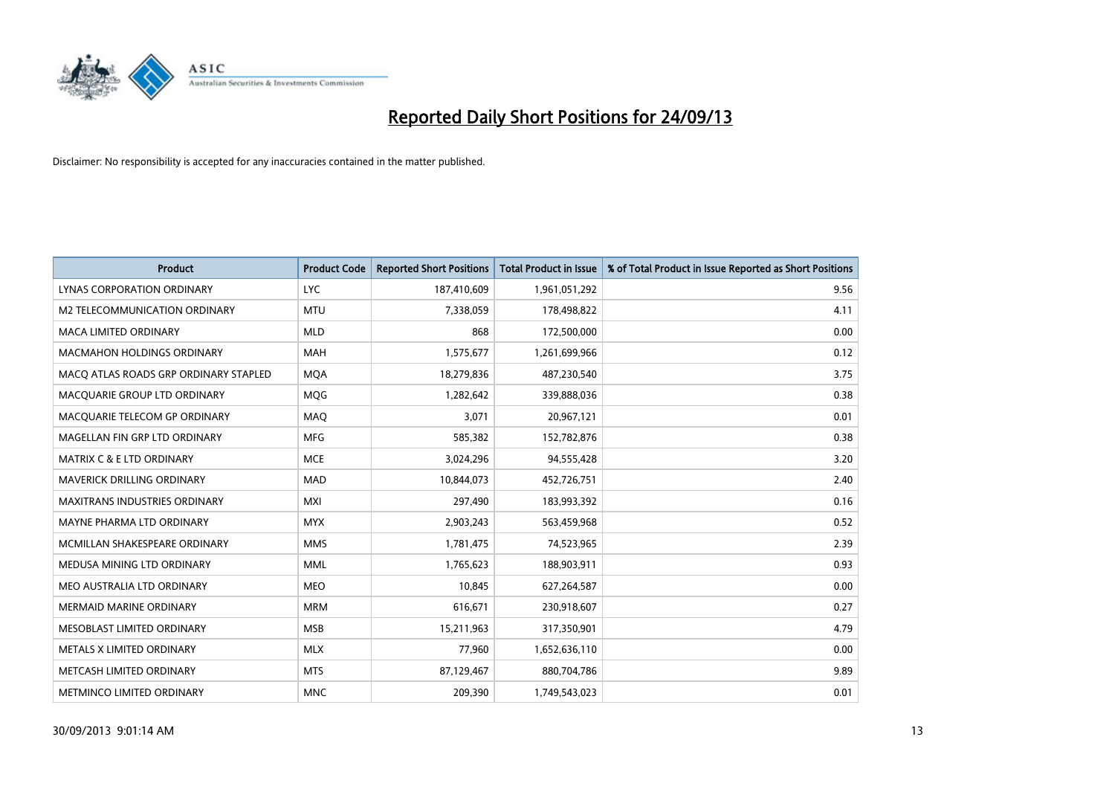

| <b>Product</b>                        | <b>Product Code</b> | <b>Reported Short Positions</b> | <b>Total Product in Issue</b> | % of Total Product in Issue Reported as Short Positions |
|---------------------------------------|---------------------|---------------------------------|-------------------------------|---------------------------------------------------------|
| LYNAS CORPORATION ORDINARY            | <b>LYC</b>          | 187,410,609                     | 1,961,051,292                 | 9.56                                                    |
| M2 TELECOMMUNICATION ORDINARY         | <b>MTU</b>          | 7,338,059                       | 178,498,822                   | 4.11                                                    |
| <b>MACA LIMITED ORDINARY</b>          | <b>MLD</b>          | 868                             | 172,500,000                   | 0.00                                                    |
| <b>MACMAHON HOLDINGS ORDINARY</b>     | <b>MAH</b>          | 1,575,677                       | 1,261,699,966                 | 0.12                                                    |
| MACO ATLAS ROADS GRP ORDINARY STAPLED | <b>MOA</b>          | 18,279,836                      | 487,230,540                   | 3.75                                                    |
| MACQUARIE GROUP LTD ORDINARY          | MQG                 | 1,282,642                       | 339,888,036                   | 0.38                                                    |
| MACQUARIE TELECOM GP ORDINARY         | MAQ                 | 3,071                           | 20,967,121                    | 0.01                                                    |
| MAGELLAN FIN GRP LTD ORDINARY         | <b>MFG</b>          | 585,382                         | 152,782,876                   | 0.38                                                    |
| <b>MATRIX C &amp; E LTD ORDINARY</b>  | <b>MCE</b>          | 3,024,296                       | 94,555,428                    | 3.20                                                    |
| MAVERICK DRILLING ORDINARY            | <b>MAD</b>          | 10,844,073                      | 452,726,751                   | 2.40                                                    |
| <b>MAXITRANS INDUSTRIES ORDINARY</b>  | <b>MXI</b>          | 297,490                         | 183,993,392                   | 0.16                                                    |
| MAYNE PHARMA LTD ORDINARY             | <b>MYX</b>          | 2,903,243                       | 563,459,968                   | 0.52                                                    |
| MCMILLAN SHAKESPEARE ORDINARY         | <b>MMS</b>          | 1,781,475                       | 74,523,965                    | 2.39                                                    |
| MEDUSA MINING LTD ORDINARY            | <b>MML</b>          | 1,765,623                       | 188,903,911                   | 0.93                                                    |
| MEO AUSTRALIA LTD ORDINARY            | <b>MEO</b>          | 10,845                          | 627,264,587                   | 0.00                                                    |
| MERMAID MARINE ORDINARY               | <b>MRM</b>          | 616,671                         | 230,918,607                   | 0.27                                                    |
| MESOBLAST LIMITED ORDINARY            | <b>MSB</b>          | 15,211,963                      | 317,350,901                   | 4.79                                                    |
| METALS X LIMITED ORDINARY             | <b>MLX</b>          | 77,960                          | 1,652,636,110                 | 0.00                                                    |
| METCASH LIMITED ORDINARY              | <b>MTS</b>          | 87,129,467                      | 880,704,786                   | 9.89                                                    |
| METMINCO LIMITED ORDINARY             | <b>MNC</b>          | 209,390                         | 1,749,543,023                 | 0.01                                                    |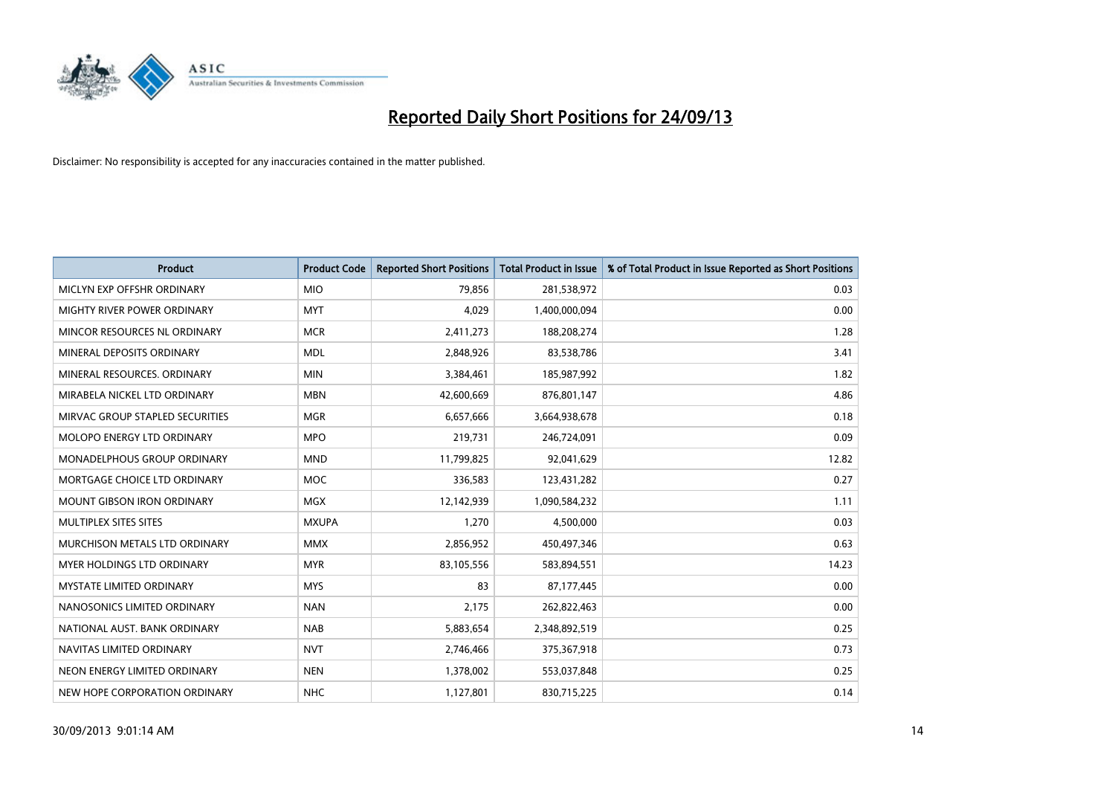

| <b>Product</b>                    | <b>Product Code</b> | <b>Reported Short Positions</b> | <b>Total Product in Issue</b> | % of Total Product in Issue Reported as Short Positions |
|-----------------------------------|---------------------|---------------------------------|-------------------------------|---------------------------------------------------------|
| MICLYN EXP OFFSHR ORDINARY        | <b>MIO</b>          | 79,856                          | 281,538,972                   | 0.03                                                    |
| MIGHTY RIVER POWER ORDINARY       | <b>MYT</b>          | 4,029                           | 1,400,000,094                 | 0.00                                                    |
| MINCOR RESOURCES NL ORDINARY      | <b>MCR</b>          | 2,411,273                       | 188,208,274                   | 1.28                                                    |
| MINERAL DEPOSITS ORDINARY         | <b>MDL</b>          | 2,848,926                       | 83,538,786                    | 3.41                                                    |
| MINERAL RESOURCES, ORDINARY       | <b>MIN</b>          | 3,384,461                       | 185,987,992                   | 1.82                                                    |
| MIRABELA NICKEL LTD ORDINARY      | <b>MBN</b>          | 42,600,669                      | 876,801,147                   | 4.86                                                    |
| MIRVAC GROUP STAPLED SECURITIES   | <b>MGR</b>          | 6,657,666                       | 3,664,938,678                 | 0.18                                                    |
| MOLOPO ENERGY LTD ORDINARY        | <b>MPO</b>          | 219,731                         | 246,724,091                   | 0.09                                                    |
| MONADELPHOUS GROUP ORDINARY       | <b>MND</b>          | 11,799,825                      | 92,041,629                    | 12.82                                                   |
| MORTGAGE CHOICE LTD ORDINARY      | <b>MOC</b>          | 336,583                         | 123,431,282                   | 0.27                                                    |
| <b>MOUNT GIBSON IRON ORDINARY</b> | <b>MGX</b>          | 12,142,939                      | 1,090,584,232                 | 1.11                                                    |
| MULTIPLEX SITES SITES             | <b>MXUPA</b>        | 1,270                           | 4,500,000                     | 0.03                                                    |
| MURCHISON METALS LTD ORDINARY     | <b>MMX</b>          | 2,856,952                       | 450,497,346                   | 0.63                                                    |
| MYER HOLDINGS LTD ORDINARY        | <b>MYR</b>          | 83,105,556                      | 583,894,551                   | 14.23                                                   |
| <b>MYSTATE LIMITED ORDINARY</b>   | <b>MYS</b>          | 83                              | 87,177,445                    | 0.00                                                    |
| NANOSONICS LIMITED ORDINARY       | <b>NAN</b>          | 2,175                           | 262,822,463                   | 0.00                                                    |
| NATIONAL AUST. BANK ORDINARY      | <b>NAB</b>          | 5,883,654                       | 2,348,892,519                 | 0.25                                                    |
| NAVITAS LIMITED ORDINARY          | <b>NVT</b>          | 2,746,466                       | 375,367,918                   | 0.73                                                    |
| NEON ENERGY LIMITED ORDINARY      | <b>NEN</b>          | 1,378,002                       | 553,037,848                   | 0.25                                                    |
| NEW HOPE CORPORATION ORDINARY     | <b>NHC</b>          | 1,127,801                       | 830,715,225                   | 0.14                                                    |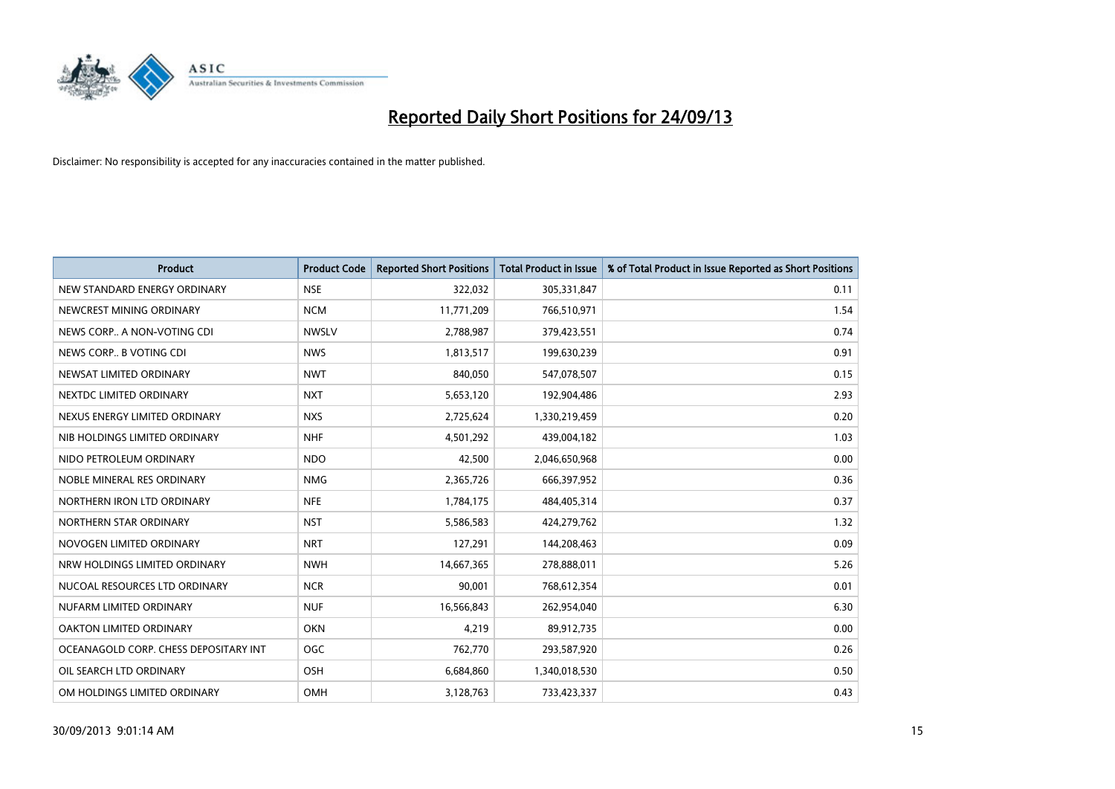

| <b>Product</b>                        | <b>Product Code</b> | <b>Reported Short Positions</b> | <b>Total Product in Issue</b> | % of Total Product in Issue Reported as Short Positions |
|---------------------------------------|---------------------|---------------------------------|-------------------------------|---------------------------------------------------------|
| NEW STANDARD ENERGY ORDINARY          | <b>NSE</b>          | 322,032                         | 305,331,847                   | 0.11                                                    |
| NEWCREST MINING ORDINARY              | <b>NCM</b>          | 11,771,209                      | 766,510,971                   | 1.54                                                    |
| NEWS CORP A NON-VOTING CDI            | <b>NWSLV</b>        | 2,788,987                       | 379,423,551                   | 0.74                                                    |
| NEWS CORP B VOTING CDI                | <b>NWS</b>          | 1,813,517                       | 199,630,239                   | 0.91                                                    |
| NEWSAT LIMITED ORDINARY               | <b>NWT</b>          | 840,050                         | 547,078,507                   | 0.15                                                    |
| NEXTDC LIMITED ORDINARY               | <b>NXT</b>          | 5,653,120                       | 192,904,486                   | 2.93                                                    |
| NEXUS ENERGY LIMITED ORDINARY         | <b>NXS</b>          | 2,725,624                       | 1,330,219,459                 | 0.20                                                    |
| NIB HOLDINGS LIMITED ORDINARY         | <b>NHF</b>          | 4,501,292                       | 439,004,182                   | 1.03                                                    |
| NIDO PETROLEUM ORDINARY               | <b>NDO</b>          | 42,500                          | 2,046,650,968                 | 0.00                                                    |
| NOBLE MINERAL RES ORDINARY            | <b>NMG</b>          | 2,365,726                       | 666,397,952                   | 0.36                                                    |
| NORTHERN IRON LTD ORDINARY            | <b>NFE</b>          | 1,784,175                       | 484,405,314                   | 0.37                                                    |
| NORTHERN STAR ORDINARY                | <b>NST</b>          | 5,586,583                       | 424,279,762                   | 1.32                                                    |
| NOVOGEN LIMITED ORDINARY              | <b>NRT</b>          | 127,291                         | 144,208,463                   | 0.09                                                    |
| NRW HOLDINGS LIMITED ORDINARY         | <b>NWH</b>          | 14,667,365                      | 278,888,011                   | 5.26                                                    |
| NUCOAL RESOURCES LTD ORDINARY         | <b>NCR</b>          | 90,001                          | 768,612,354                   | 0.01                                                    |
| NUFARM LIMITED ORDINARY               | <b>NUF</b>          | 16,566,843                      | 262,954,040                   | 6.30                                                    |
| OAKTON LIMITED ORDINARY               | <b>OKN</b>          | 4,219                           | 89,912,735                    | 0.00                                                    |
| OCEANAGOLD CORP. CHESS DEPOSITARY INT | <b>OGC</b>          | 762,770                         | 293,587,920                   | 0.26                                                    |
| OIL SEARCH LTD ORDINARY               | OSH                 | 6,684,860                       | 1,340,018,530                 | 0.50                                                    |
| OM HOLDINGS LIMITED ORDINARY          | OMH                 | 3,128,763                       | 733,423,337                   | 0.43                                                    |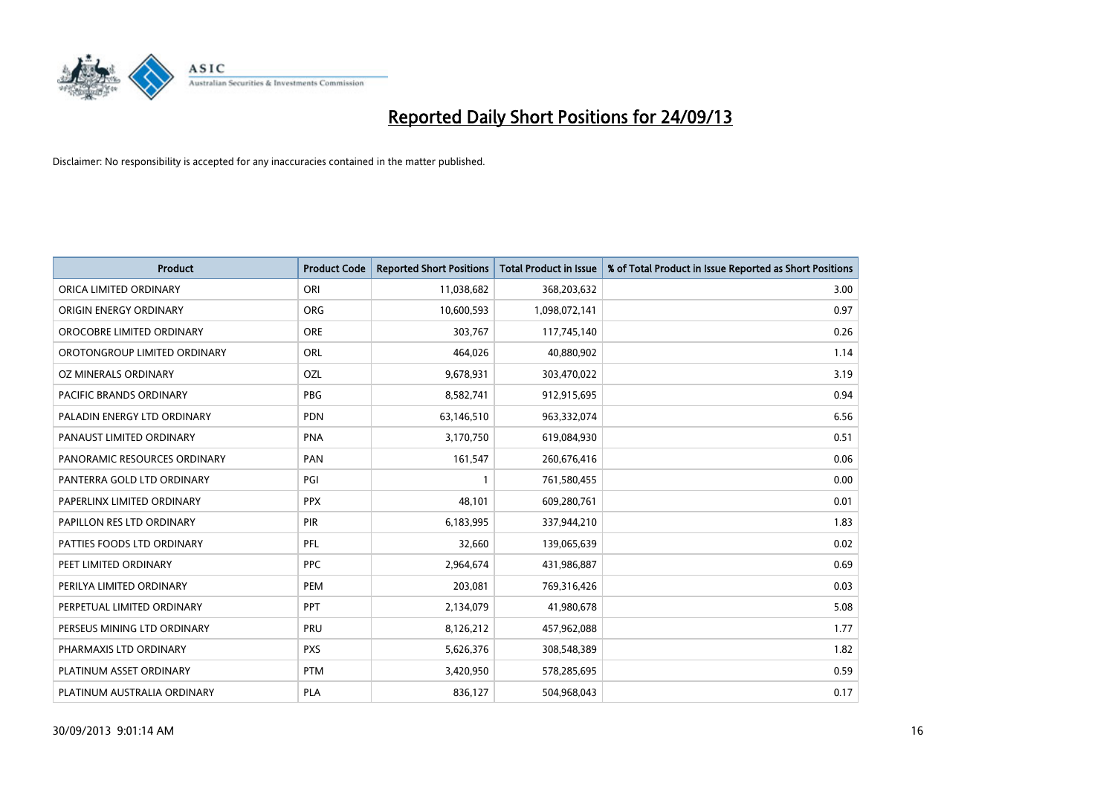

| <b>Product</b>                 | <b>Product Code</b> | <b>Reported Short Positions</b> | <b>Total Product in Issue</b> | % of Total Product in Issue Reported as Short Positions |
|--------------------------------|---------------------|---------------------------------|-------------------------------|---------------------------------------------------------|
| ORICA LIMITED ORDINARY         | ORI                 | 11,038,682                      | 368,203,632                   | 3.00                                                    |
| ORIGIN ENERGY ORDINARY         | <b>ORG</b>          | 10,600,593                      | 1,098,072,141                 | 0.97                                                    |
| OROCOBRE LIMITED ORDINARY      | <b>ORE</b>          | 303,767                         | 117,745,140                   | 0.26                                                    |
| OROTONGROUP LIMITED ORDINARY   | ORL                 | 464,026                         | 40,880,902                    | 1.14                                                    |
| OZ MINERALS ORDINARY           | OZL                 | 9,678,931                       | 303,470,022                   | 3.19                                                    |
| <b>PACIFIC BRANDS ORDINARY</b> | <b>PBG</b>          | 8,582,741                       | 912,915,695                   | 0.94                                                    |
| PALADIN ENERGY LTD ORDINARY    | <b>PDN</b>          | 63,146,510                      | 963,332,074                   | 6.56                                                    |
| PANAUST LIMITED ORDINARY       | <b>PNA</b>          | 3,170,750                       | 619,084,930                   | 0.51                                                    |
| PANORAMIC RESOURCES ORDINARY   | PAN                 | 161,547                         | 260,676,416                   | 0.06                                                    |
| PANTERRA GOLD LTD ORDINARY     | PGI                 | $\mathbf{1}$                    | 761,580,455                   | 0.00                                                    |
| PAPERLINX LIMITED ORDINARY     | <b>PPX</b>          | 48,101                          | 609,280,761                   | 0.01                                                    |
| PAPILLON RES LTD ORDINARY      | <b>PIR</b>          | 6,183,995                       | 337,944,210                   | 1.83                                                    |
| PATTIES FOODS LTD ORDINARY     | PFL                 | 32,660                          | 139,065,639                   | 0.02                                                    |
| PEET LIMITED ORDINARY          | <b>PPC</b>          | 2,964,674                       | 431,986,887                   | 0.69                                                    |
| PERILYA LIMITED ORDINARY       | PEM                 | 203,081                         | 769,316,426                   | 0.03                                                    |
| PERPETUAL LIMITED ORDINARY     | PPT                 | 2,134,079                       | 41,980,678                    | 5.08                                                    |
| PERSEUS MINING LTD ORDINARY    | PRU                 | 8,126,212                       | 457,962,088                   | 1.77                                                    |
| PHARMAXIS LTD ORDINARY         | <b>PXS</b>          | 5,626,376                       | 308,548,389                   | 1.82                                                    |
| PLATINUM ASSET ORDINARY        | <b>PTM</b>          | 3,420,950                       | 578,285,695                   | 0.59                                                    |
| PLATINUM AUSTRALIA ORDINARY    | <b>PLA</b>          | 836,127                         | 504,968,043                   | 0.17                                                    |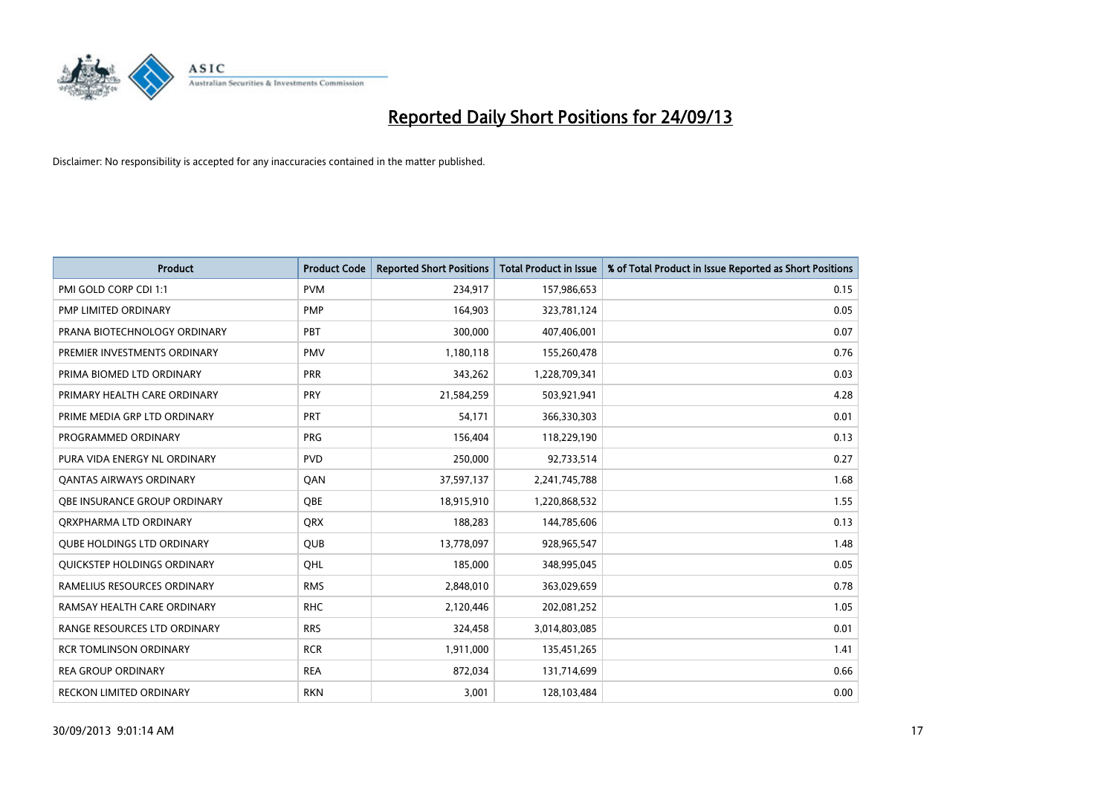

| <b>Product</b>                    | <b>Product Code</b> | <b>Reported Short Positions</b> | <b>Total Product in Issue</b> | % of Total Product in Issue Reported as Short Positions |
|-----------------------------------|---------------------|---------------------------------|-------------------------------|---------------------------------------------------------|
| PMI GOLD CORP CDI 1:1             | <b>PVM</b>          | 234,917                         | 157,986,653                   | 0.15                                                    |
| PMP LIMITED ORDINARY              | <b>PMP</b>          | 164,903                         | 323,781,124                   | 0.05                                                    |
| PRANA BIOTECHNOLOGY ORDINARY      | <b>PBT</b>          | 300,000                         | 407,406,001                   | 0.07                                                    |
| PREMIER INVESTMENTS ORDINARY      | <b>PMV</b>          | 1,180,118                       | 155,260,478                   | 0.76                                                    |
| PRIMA BIOMED LTD ORDINARY         | <b>PRR</b>          | 343,262                         | 1,228,709,341                 | 0.03                                                    |
| PRIMARY HEALTH CARE ORDINARY      | <b>PRY</b>          | 21,584,259                      | 503,921,941                   | 4.28                                                    |
| PRIME MEDIA GRP LTD ORDINARY      | <b>PRT</b>          | 54,171                          | 366,330,303                   | 0.01                                                    |
| PROGRAMMED ORDINARY               | <b>PRG</b>          | 156,404                         | 118,229,190                   | 0.13                                                    |
| PURA VIDA ENERGY NL ORDINARY      | <b>PVD</b>          | 250,000                         | 92,733,514                    | 0.27                                                    |
| <b>QANTAS AIRWAYS ORDINARY</b>    | QAN                 | 37,597,137                      | 2,241,745,788                 | 1.68                                                    |
| OBE INSURANCE GROUP ORDINARY      | <b>OBE</b>          | 18,915,910                      | 1,220,868,532                 | 1.55                                                    |
| ORXPHARMA LTD ORDINARY            | QRX                 | 188,283                         | 144,785,606                   | 0.13                                                    |
| <b>QUBE HOLDINGS LTD ORDINARY</b> | QUB                 | 13,778,097                      | 928,965,547                   | 1.48                                                    |
| QUICKSTEP HOLDINGS ORDINARY       | QHL                 | 185,000                         | 348,995,045                   | 0.05                                                    |
| RAMELIUS RESOURCES ORDINARY       | <b>RMS</b>          | 2,848,010                       | 363,029,659                   | 0.78                                                    |
| RAMSAY HEALTH CARE ORDINARY       | <b>RHC</b>          | 2,120,446                       | 202,081,252                   | 1.05                                                    |
| RANGE RESOURCES LTD ORDINARY      | <b>RRS</b>          | 324,458                         | 3,014,803,085                 | 0.01                                                    |
| <b>RCR TOMLINSON ORDINARY</b>     | <b>RCR</b>          | 1,911,000                       | 135,451,265                   | 1.41                                                    |
| <b>REA GROUP ORDINARY</b>         | <b>REA</b>          | 872,034                         | 131,714,699                   | 0.66                                                    |
| <b>RECKON LIMITED ORDINARY</b>    | <b>RKN</b>          | 3,001                           | 128,103,484                   | 0.00                                                    |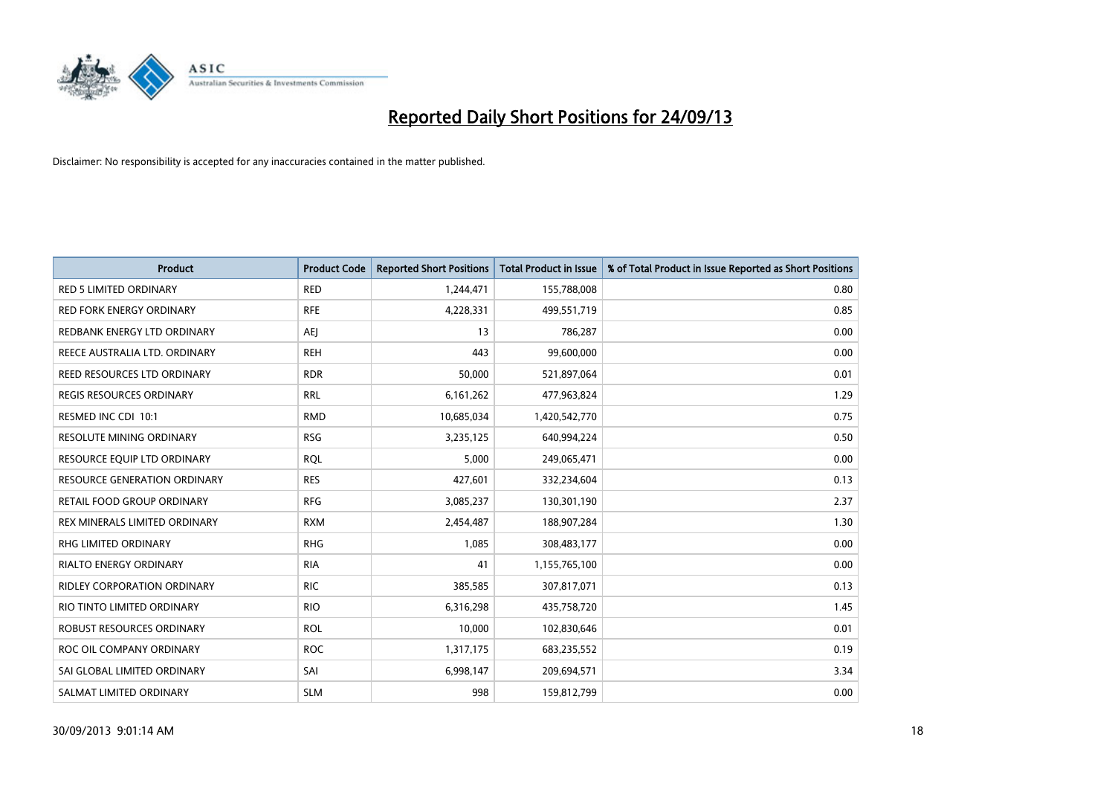

| <b>Product</b>                       | <b>Product Code</b> | <b>Reported Short Positions</b> | <b>Total Product in Issue</b> | % of Total Product in Issue Reported as Short Positions |
|--------------------------------------|---------------------|---------------------------------|-------------------------------|---------------------------------------------------------|
| <b>RED 5 LIMITED ORDINARY</b>        | <b>RED</b>          | 1,244,471                       | 155,788,008                   | 0.80                                                    |
| <b>RED FORK ENERGY ORDINARY</b>      | <b>RFE</b>          | 4,228,331                       | 499,551,719                   | 0.85                                                    |
| REDBANK ENERGY LTD ORDINARY          | AEJ                 | 13                              | 786,287                       | 0.00                                                    |
| REECE AUSTRALIA LTD. ORDINARY        | <b>REH</b>          | 443                             | 99,600,000                    | 0.00                                                    |
| <b>REED RESOURCES LTD ORDINARY</b>   | <b>RDR</b>          | 50,000                          | 521,897,064                   | 0.01                                                    |
| <b>REGIS RESOURCES ORDINARY</b>      | <b>RRL</b>          | 6,161,262                       | 477,963,824                   | 1.29                                                    |
| RESMED INC CDI 10:1                  | <b>RMD</b>          | 10,685,034                      | 1,420,542,770                 | 0.75                                                    |
| RESOLUTE MINING ORDINARY             | <b>RSG</b>          | 3,235,125                       | 640,994,224                   | 0.50                                                    |
| RESOURCE EQUIP LTD ORDINARY          | <b>ROL</b>          | 5,000                           | 249,065,471                   | 0.00                                                    |
| <b>RESOURCE GENERATION ORDINARY</b>  | <b>RES</b>          | 427,601                         | 332,234,604                   | 0.13                                                    |
| RETAIL FOOD GROUP ORDINARY           | <b>RFG</b>          | 3,085,237                       | 130,301,190                   | 2.37                                                    |
| <b>REX MINERALS LIMITED ORDINARY</b> | <b>RXM</b>          | 2,454,487                       | 188,907,284                   | 1.30                                                    |
| RHG LIMITED ORDINARY                 | <b>RHG</b>          | 1,085                           | 308,483,177                   | 0.00                                                    |
| <b>RIALTO ENERGY ORDINARY</b>        | <b>RIA</b>          | 41                              | 1,155,765,100                 | 0.00                                                    |
| <b>RIDLEY CORPORATION ORDINARY</b>   | <b>RIC</b>          | 385,585                         | 307,817,071                   | 0.13                                                    |
| RIO TINTO LIMITED ORDINARY           | <b>RIO</b>          | 6,316,298                       | 435,758,720                   | 1.45                                                    |
| ROBUST RESOURCES ORDINARY            | <b>ROL</b>          | 10,000                          | 102,830,646                   | 0.01                                                    |
| ROC OIL COMPANY ORDINARY             | <b>ROC</b>          | 1,317,175                       | 683,235,552                   | 0.19                                                    |
| SAI GLOBAL LIMITED ORDINARY          | SAI                 | 6,998,147                       | 209,694,571                   | 3.34                                                    |
| SALMAT LIMITED ORDINARY              | <b>SLM</b>          | 998                             | 159,812,799                   | 0.00                                                    |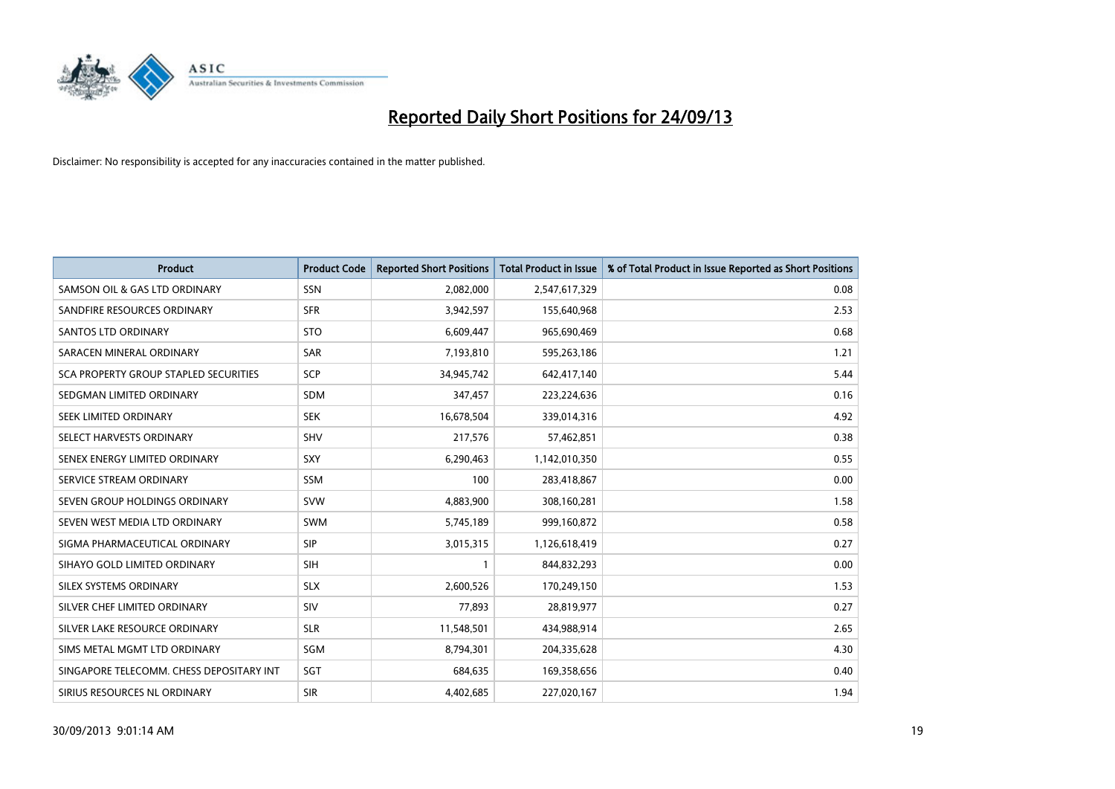

| <b>Product</b>                           | <b>Product Code</b> | <b>Reported Short Positions</b> | <b>Total Product in Issue</b> | % of Total Product in Issue Reported as Short Positions |
|------------------------------------------|---------------------|---------------------------------|-------------------------------|---------------------------------------------------------|
| SAMSON OIL & GAS LTD ORDINARY            | <b>SSN</b>          | 2,082,000                       | 2,547,617,329                 | 0.08                                                    |
| SANDFIRE RESOURCES ORDINARY              | <b>SFR</b>          | 3,942,597                       | 155,640,968                   | 2.53                                                    |
| <b>SANTOS LTD ORDINARY</b>               | <b>STO</b>          | 6,609,447                       | 965,690,469                   | 0.68                                                    |
| SARACEN MINERAL ORDINARY                 | <b>SAR</b>          | 7,193,810                       | 595,263,186                   | 1.21                                                    |
| SCA PROPERTY GROUP STAPLED SECURITIES    | SCP                 | 34,945,742                      | 642,417,140                   | 5.44                                                    |
| SEDGMAN LIMITED ORDINARY                 | <b>SDM</b>          | 347,457                         | 223,224,636                   | 0.16                                                    |
| SEEK LIMITED ORDINARY                    | <b>SEK</b>          | 16,678,504                      | 339,014,316                   | 4.92                                                    |
| SELECT HARVESTS ORDINARY                 | <b>SHV</b>          | 217,576                         | 57,462,851                    | 0.38                                                    |
| SENEX ENERGY LIMITED ORDINARY            | SXY                 | 6,290,463                       | 1,142,010,350                 | 0.55                                                    |
| SERVICE STREAM ORDINARY                  | SSM                 | 100                             | 283,418,867                   | 0.00                                                    |
| SEVEN GROUP HOLDINGS ORDINARY            | <b>SVW</b>          | 4,883,900                       | 308,160,281                   | 1.58                                                    |
| SEVEN WEST MEDIA LTD ORDINARY            | <b>SWM</b>          | 5,745,189                       | 999,160,872                   | 0.58                                                    |
| SIGMA PHARMACEUTICAL ORDINARY            | <b>SIP</b>          | 3,015,315                       | 1,126,618,419                 | 0.27                                                    |
| SIHAYO GOLD LIMITED ORDINARY             | SIH                 | 1                               | 844,832,293                   | 0.00                                                    |
| SILEX SYSTEMS ORDINARY                   | <b>SLX</b>          | 2,600,526                       | 170,249,150                   | 1.53                                                    |
| SILVER CHEF LIMITED ORDINARY             | SIV                 | 77,893                          | 28,819,977                    | 0.27                                                    |
| SILVER LAKE RESOURCE ORDINARY            | <b>SLR</b>          | 11,548,501                      | 434,988,914                   | 2.65                                                    |
| SIMS METAL MGMT LTD ORDINARY             | SGM                 | 8,794,301                       | 204,335,628                   | 4.30                                                    |
| SINGAPORE TELECOMM. CHESS DEPOSITARY INT | SGT                 | 684,635                         | 169,358,656                   | 0.40                                                    |
| SIRIUS RESOURCES NL ORDINARY             | <b>SIR</b>          | 4,402,685                       | 227,020,167                   | 1.94                                                    |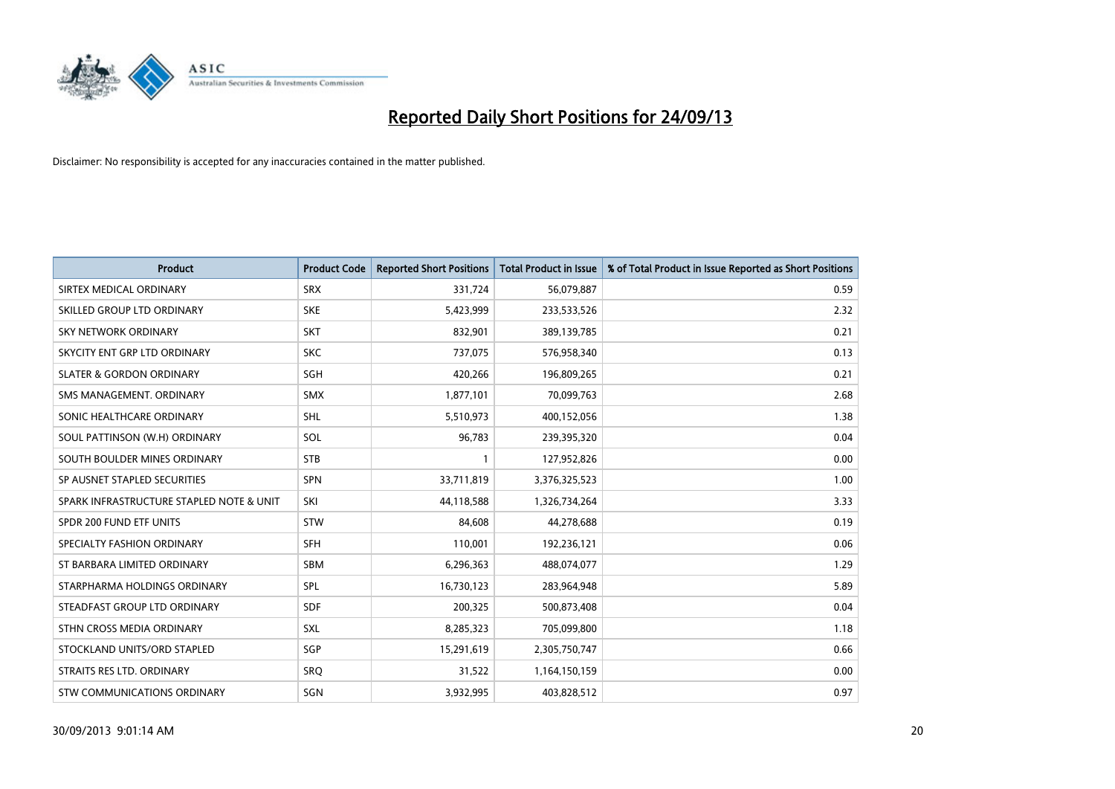

| <b>Product</b>                           | <b>Product Code</b> | <b>Reported Short Positions</b> | <b>Total Product in Issue</b> | % of Total Product in Issue Reported as Short Positions |
|------------------------------------------|---------------------|---------------------------------|-------------------------------|---------------------------------------------------------|
| SIRTEX MEDICAL ORDINARY                  | <b>SRX</b>          | 331,724                         | 56,079,887                    | 0.59                                                    |
| SKILLED GROUP LTD ORDINARY               | <b>SKE</b>          | 5,423,999                       | 233,533,526                   | 2.32                                                    |
| <b>SKY NETWORK ORDINARY</b>              | <b>SKT</b>          | 832,901                         | 389,139,785                   | 0.21                                                    |
| SKYCITY ENT GRP LTD ORDINARY             | <b>SKC</b>          | 737,075                         | 576,958,340                   | 0.13                                                    |
| <b>SLATER &amp; GORDON ORDINARY</b>      | SGH                 | 420,266                         | 196,809,265                   | 0.21                                                    |
| SMS MANAGEMENT, ORDINARY                 | <b>SMX</b>          | 1,877,101                       | 70,099,763                    | 2.68                                                    |
| SONIC HEALTHCARE ORDINARY                | <b>SHL</b>          | 5,510,973                       | 400,152,056                   | 1.38                                                    |
| SOUL PATTINSON (W.H) ORDINARY            | SOL                 | 96,783                          | 239,395,320                   | 0.04                                                    |
| SOUTH BOULDER MINES ORDINARY             | <b>STB</b>          | $\mathbf{1}$                    | 127,952,826                   | 0.00                                                    |
| SP AUSNET STAPLED SECURITIES             | <b>SPN</b>          | 33,711,819                      | 3,376,325,523                 | 1.00                                                    |
| SPARK INFRASTRUCTURE STAPLED NOTE & UNIT | SKI                 | 44,118,588                      | 1,326,734,264                 | 3.33                                                    |
| SPDR 200 FUND ETF UNITS                  | <b>STW</b>          | 84,608                          | 44,278,688                    | 0.19                                                    |
| SPECIALTY FASHION ORDINARY               | <b>SFH</b>          | 110,001                         | 192,236,121                   | 0.06                                                    |
| ST BARBARA LIMITED ORDINARY              | SBM                 | 6,296,363                       | 488,074,077                   | 1.29                                                    |
| STARPHARMA HOLDINGS ORDINARY             | SPL                 | 16,730,123                      | 283,964,948                   | 5.89                                                    |
| STEADFAST GROUP LTD ORDINARY             | SDF                 | 200,325                         | 500,873,408                   | 0.04                                                    |
| STHN CROSS MEDIA ORDINARY                | SXL                 | 8,285,323                       | 705,099,800                   | 1.18                                                    |
| STOCKLAND UNITS/ORD STAPLED              | SGP                 | 15,291,619                      | 2,305,750,747                 | 0.66                                                    |
| STRAITS RES LTD. ORDINARY                | <b>SRO</b>          | 31,522                          | 1,164,150,159                 | 0.00                                                    |
| STW COMMUNICATIONS ORDINARY              | SGN                 | 3,932,995                       | 403,828,512                   | 0.97                                                    |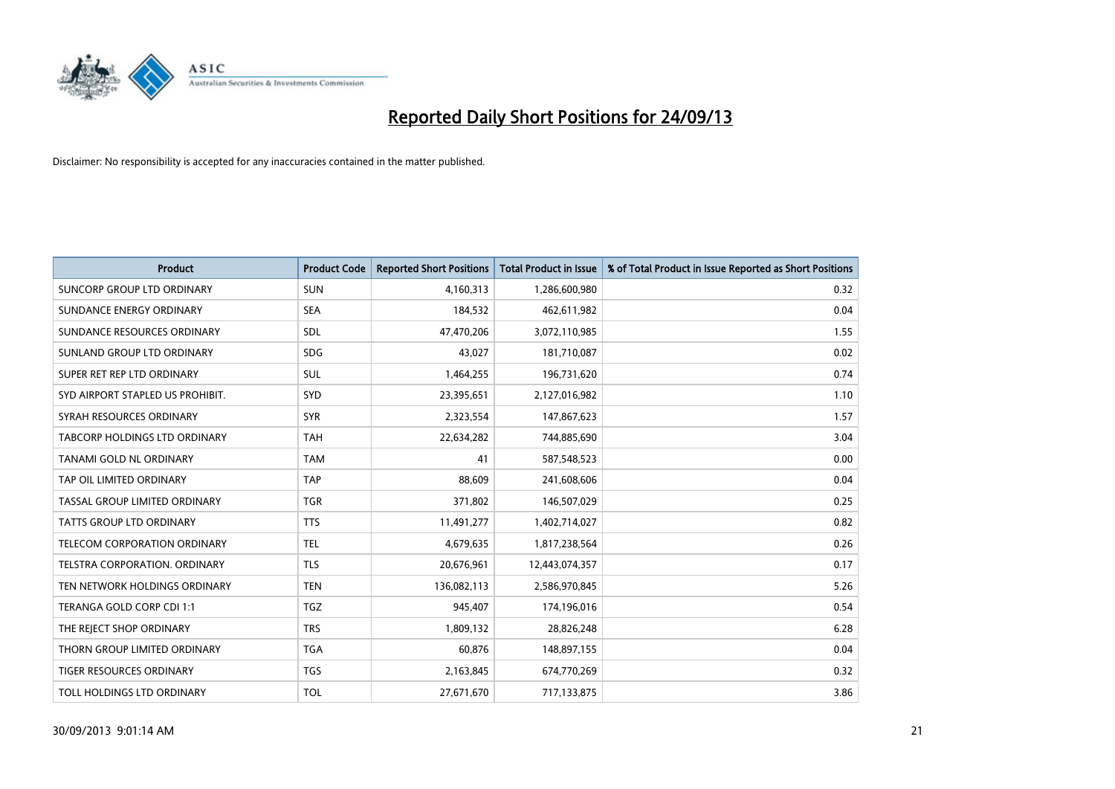

| <b>Product</b>                   | <b>Product Code</b> | <b>Reported Short Positions</b> | <b>Total Product in Issue</b> | % of Total Product in Issue Reported as Short Positions |
|----------------------------------|---------------------|---------------------------------|-------------------------------|---------------------------------------------------------|
| SUNCORP GROUP LTD ORDINARY       | <b>SUN</b>          | 4,160,313                       | 1,286,600,980                 | 0.32                                                    |
| SUNDANCE ENERGY ORDINARY         | <b>SEA</b>          | 184,532                         | 462,611,982                   | 0.04                                                    |
| SUNDANCE RESOURCES ORDINARY      | SDL                 | 47,470,206                      | 3,072,110,985                 | 1.55                                                    |
| SUNLAND GROUP LTD ORDINARY       | <b>SDG</b>          | 43,027                          | 181,710,087                   | 0.02                                                    |
| SUPER RET REP LTD ORDINARY       | SUL                 | 1,464,255                       | 196,731,620                   | 0.74                                                    |
| SYD AIRPORT STAPLED US PROHIBIT. | SYD                 | 23,395,651                      | 2,127,016,982                 | 1.10                                                    |
| SYRAH RESOURCES ORDINARY         | <b>SYR</b>          | 2,323,554                       | 147,867,623                   | 1.57                                                    |
| TABCORP HOLDINGS LTD ORDINARY    | <b>TAH</b>          | 22,634,282                      | 744,885,690                   | 3.04                                                    |
| <b>TANAMI GOLD NL ORDINARY</b>   | <b>TAM</b>          | 41                              | 587,548,523                   | 0.00                                                    |
| TAP OIL LIMITED ORDINARY         | <b>TAP</b>          | 88,609                          | 241,608,606                   | 0.04                                                    |
| TASSAL GROUP LIMITED ORDINARY    | <b>TGR</b>          | 371,802                         | 146,507,029                   | 0.25                                                    |
| <b>TATTS GROUP LTD ORDINARY</b>  | <b>TTS</b>          | 11,491,277                      | 1,402,714,027                 | 0.82                                                    |
| TELECOM CORPORATION ORDINARY     | <b>TEL</b>          | 4,679,635                       | 1,817,238,564                 | 0.26                                                    |
| TELSTRA CORPORATION, ORDINARY    | <b>TLS</b>          | 20,676,961                      | 12,443,074,357                | 0.17                                                    |
| TEN NETWORK HOLDINGS ORDINARY    | <b>TEN</b>          | 136,082,113                     | 2,586,970,845                 | 5.26                                                    |
| TERANGA GOLD CORP CDI 1:1        | <b>TGZ</b>          | 945,407                         | 174,196,016                   | 0.54                                                    |
| THE REJECT SHOP ORDINARY         | <b>TRS</b>          | 1,809,132                       | 28,826,248                    | 6.28                                                    |
| THORN GROUP LIMITED ORDINARY     | <b>TGA</b>          | 60,876                          | 148,897,155                   | 0.04                                                    |
| <b>TIGER RESOURCES ORDINARY</b>  | <b>TGS</b>          | 2,163,845                       | 674,770,269                   | 0.32                                                    |
| TOLL HOLDINGS LTD ORDINARY       | <b>TOL</b>          | 27,671,670                      | 717,133,875                   | 3.86                                                    |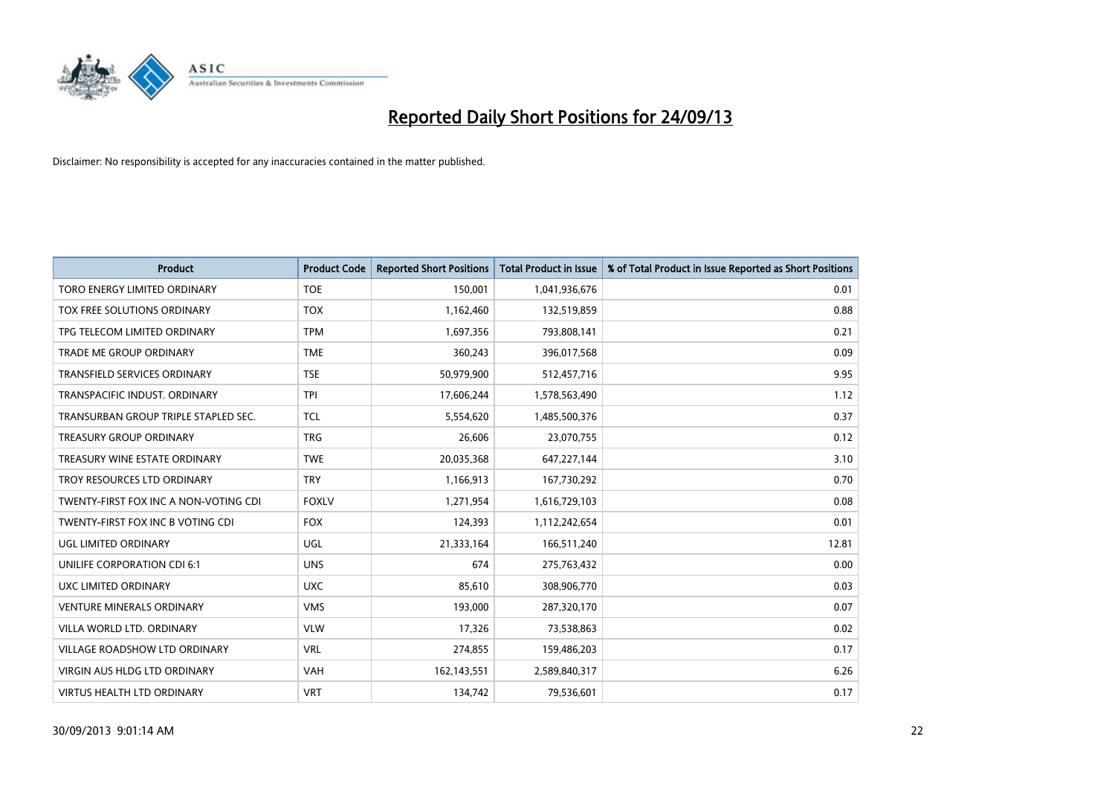

| <b>Product</b>                        | <b>Product Code</b> | <b>Reported Short Positions</b> | <b>Total Product in Issue</b> | % of Total Product in Issue Reported as Short Positions |
|---------------------------------------|---------------------|---------------------------------|-------------------------------|---------------------------------------------------------|
| <b>TORO ENERGY LIMITED ORDINARY</b>   | <b>TOE</b>          | 150,001                         | 1,041,936,676                 | 0.01                                                    |
| TOX FREE SOLUTIONS ORDINARY           | <b>TOX</b>          | 1,162,460                       | 132,519,859                   | 0.88                                                    |
| TPG TELECOM LIMITED ORDINARY          | <b>TPM</b>          | 1,697,356                       | 793,808,141                   | 0.21                                                    |
| TRADE ME GROUP ORDINARY               | <b>TME</b>          | 360,243                         | 396,017,568                   | 0.09                                                    |
| <b>TRANSFIELD SERVICES ORDINARY</b>   | <b>TSE</b>          | 50,979,900                      | 512,457,716                   | 9.95                                                    |
| TRANSPACIFIC INDUST, ORDINARY         | <b>TPI</b>          | 17,606,244                      | 1,578,563,490                 | 1.12                                                    |
| TRANSURBAN GROUP TRIPLE STAPLED SEC.  | <b>TCL</b>          | 5,554,620                       | 1,485,500,376                 | 0.37                                                    |
| TREASURY GROUP ORDINARY               | <b>TRG</b>          | 26,606                          | 23,070,755                    | 0.12                                                    |
| TREASURY WINE ESTATE ORDINARY         | <b>TWE</b>          | 20,035,368                      | 647,227,144                   | 3.10                                                    |
| TROY RESOURCES LTD ORDINARY           | <b>TRY</b>          | 1,166,913                       | 167,730,292                   | 0.70                                                    |
| TWENTY-FIRST FOX INC A NON-VOTING CDI | <b>FOXLV</b>        | 1,271,954                       | 1,616,729,103                 | 0.08                                                    |
| TWENTY-FIRST FOX INC B VOTING CDI     | <b>FOX</b>          | 124,393                         | 1,112,242,654                 | 0.01                                                    |
| UGL LIMITED ORDINARY                  | UGL                 | 21,333,164                      | 166,511,240                   | 12.81                                                   |
| UNILIFE CORPORATION CDI 6:1           | <b>UNS</b>          | 674                             | 275,763,432                   | 0.00                                                    |
| UXC LIMITED ORDINARY                  | <b>UXC</b>          | 85,610                          | 308,906,770                   | 0.03                                                    |
| VENTURE MINERALS ORDINARY             | <b>VMS</b>          | 193,000                         | 287,320,170                   | 0.07                                                    |
| VILLA WORLD LTD. ORDINARY             | <b>VLW</b>          | 17,326                          | 73,538,863                    | 0.02                                                    |
| VILLAGE ROADSHOW LTD ORDINARY         | <b>VRL</b>          | 274,855                         | 159,486,203                   | 0.17                                                    |
| <b>VIRGIN AUS HLDG LTD ORDINARY</b>   | <b>VAH</b>          | 162,143,551                     | 2,589,840,317                 | 6.26                                                    |
| VIRTUS HEALTH LTD ORDINARY            | <b>VRT</b>          | 134,742                         | 79,536,601                    | 0.17                                                    |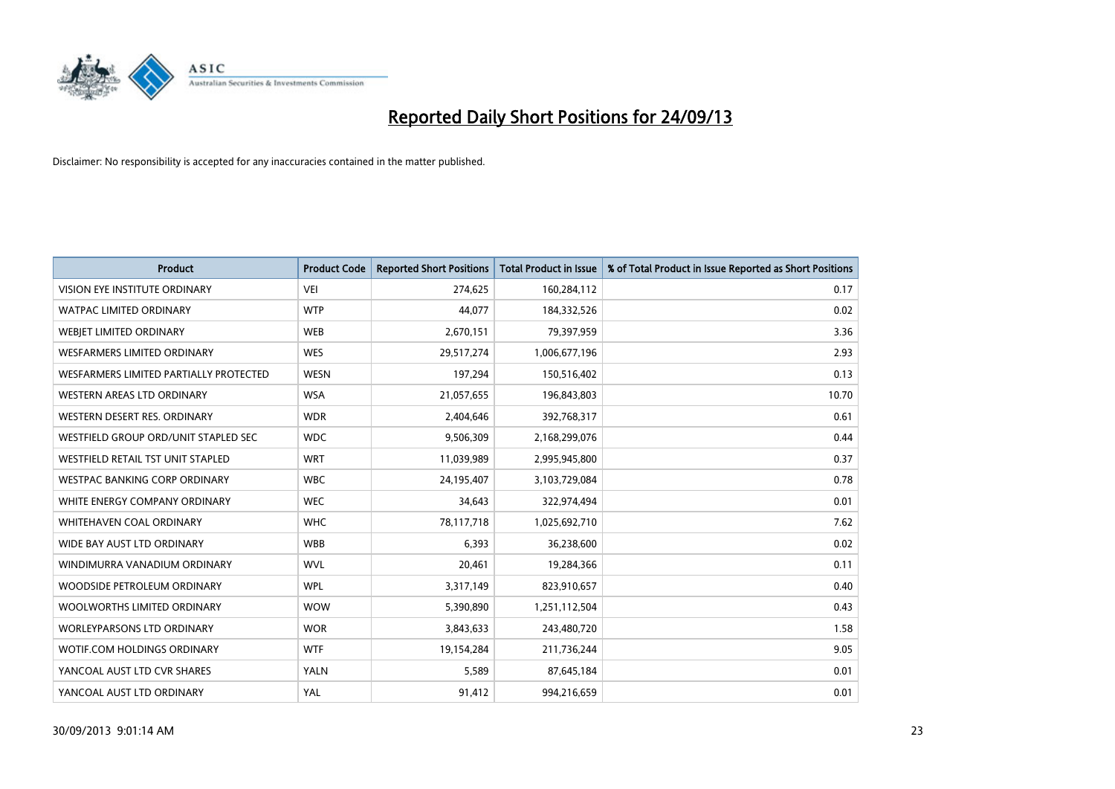

| <b>Product</b>                         | <b>Product Code</b> | <b>Reported Short Positions</b> | <b>Total Product in Issue</b> | % of Total Product in Issue Reported as Short Positions |
|----------------------------------------|---------------------|---------------------------------|-------------------------------|---------------------------------------------------------|
| VISION EYE INSTITUTE ORDINARY          | <b>VEI</b>          | 274,625                         | 160,284,112                   | 0.17                                                    |
| <b>WATPAC LIMITED ORDINARY</b>         | <b>WTP</b>          | 44,077                          | 184,332,526                   | 0.02                                                    |
| WEBJET LIMITED ORDINARY                | <b>WEB</b>          | 2,670,151                       | 79,397,959                    | 3.36                                                    |
| <b>WESFARMERS LIMITED ORDINARY</b>     | <b>WES</b>          | 29,517,274                      | 1,006,677,196                 | 2.93                                                    |
| WESFARMERS LIMITED PARTIALLY PROTECTED | <b>WESN</b>         | 197,294                         | 150,516,402                   | 0.13                                                    |
| WESTERN AREAS LTD ORDINARY             | <b>WSA</b>          | 21,057,655                      | 196,843,803                   | 10.70                                                   |
| WESTERN DESERT RES. ORDINARY           | <b>WDR</b>          | 2,404,646                       | 392,768,317                   | 0.61                                                    |
| WESTFIELD GROUP ORD/UNIT STAPLED SEC   | <b>WDC</b>          | 9,506,309                       | 2,168,299,076                 | 0.44                                                    |
| WESTFIELD RETAIL TST UNIT STAPLED      | <b>WRT</b>          | 11,039,989                      | 2,995,945,800                 | 0.37                                                    |
| <b>WESTPAC BANKING CORP ORDINARY</b>   | <b>WBC</b>          | 24,195,407                      | 3,103,729,084                 | 0.78                                                    |
| WHITE ENERGY COMPANY ORDINARY          | <b>WEC</b>          | 34,643                          | 322,974,494                   | 0.01                                                    |
| WHITEHAVEN COAL ORDINARY               | <b>WHC</b>          | 78,117,718                      | 1,025,692,710                 | 7.62                                                    |
| WIDE BAY AUST LTD ORDINARY             | <b>WBB</b>          | 6,393                           | 36,238,600                    | 0.02                                                    |
| WINDIMURRA VANADIUM ORDINARY           | <b>WVL</b>          | 20,461                          | 19,284,366                    | 0.11                                                    |
| WOODSIDE PETROLEUM ORDINARY            | <b>WPL</b>          | 3,317,149                       | 823,910,657                   | 0.40                                                    |
| WOOLWORTHS LIMITED ORDINARY            | <b>WOW</b>          | 5,390,890                       | 1,251,112,504                 | 0.43                                                    |
| <b>WORLEYPARSONS LTD ORDINARY</b>      | <b>WOR</b>          | 3,843,633                       | 243,480,720                   | 1.58                                                    |
| WOTIF.COM HOLDINGS ORDINARY            | <b>WTF</b>          | 19,154,284                      | 211,736,244                   | 9.05                                                    |
| YANCOAL AUST LTD CVR SHARES            | <b>YALN</b>         | 5,589                           | 87,645,184                    | 0.01                                                    |
| YANCOAL AUST LTD ORDINARY              | YAL                 | 91,412                          | 994,216,659                   | 0.01                                                    |